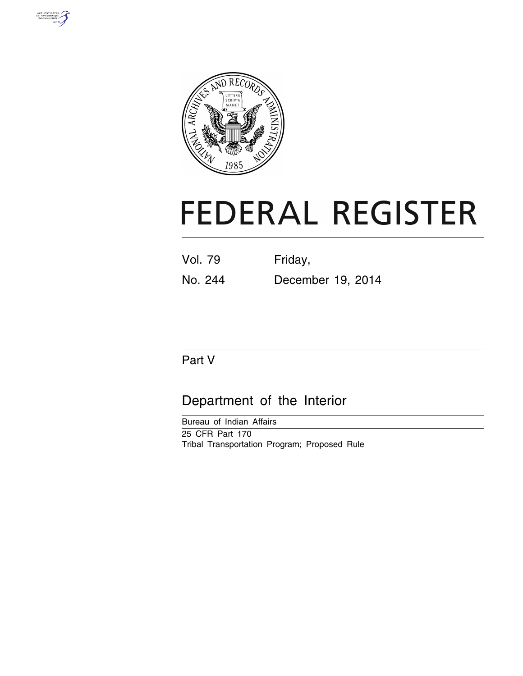



# **FEDERAL REGISTER**

| <b>Vol. 79</b> | Friday,           |
|----------------|-------------------|
| No. 244        | December 19, 2014 |

# Part V

# Department of the Interior

Bureau of Indian Affairs 25 CFR Part 170 Tribal Transportation Program; Proposed Rule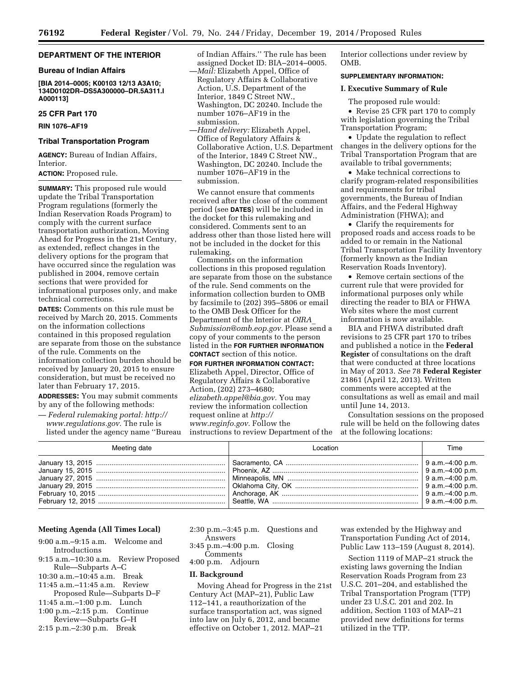# **DEPARTMENT OF THE INTERIOR**

#### **Bureau of Indian Affairs**

**[BIA 2014–0005; K00103 12/13 A3A10; 134D0102DR–DS5A300000–DR.5A311.I A000113]** 

# **25 CFR Part 170**

**RIN 1076–AF19** 

# **Tribal Transportation Program**

**AGENCY:** Bureau of Indian Affairs, Interior.

# **ACTION:** Proposed rule.

**SUMMARY:** This proposed rule would update the Tribal Transportation Program regulations (formerly the Indian Reservation Roads Program) to comply with the current surface transportation authorization, Moving Ahead for Progress in the 21st Century, as extended, reflect changes in the delivery options for the program that have occurred since the regulation was published in 2004, remove certain sections that were provided for informational purposes only, and make technical corrections.

**DATES:** Comments on this rule must be received by March 20, 2015. Comments on the information collections contained in this proposed regulation are separate from those on the substance of the rule. Comments on the information collection burden should be received by January 20, 2015 to ensure consideration, but must be received no later than February 17, 2015.

**ADDRESSES:** You may submit comments by any of the following methods:

— *Federal rulemaking portal: [http://](http://www.regulations.gov) [www.regulations.gov.](http://www.regulations.gov)* The rule is listed under the agency name ''Bureau of Indian Affairs.'' The rule has been assigned Docket ID: BIA–2014–0005. —*Mail:* Elizabeth Appel, Office of Regulatory Affairs & Collaborative Action, U.S. Department of the Interior, 1849 C Street NW., Washington, DC 20240. Include the number 1076–AF19 in the submission.

—*Hand delivery:* Elizabeth Appel, Office of Regulatory Affairs & Collaborative Action, U.S. Department of the Interior, 1849 C Street NW., Washington, DC 20240. Include the number 1076–AF19 in the submission.

We cannot ensure that comments received after the close of the comment period (see **DATES**) will be included in the docket for this rulemaking and considered. Comments sent to an address other than those listed here will not be included in the docket for this rulemaking.

Comments on the information collections in this proposed regulation are separate from those on the substance of the rule. Send comments on the information collection burden to OMB by facsimile to (202) 395–5806 or email to the OMB Desk Officer for the Department of the Interior at *[OIRA](mailto:OIRA_Submission@omb.eop.gov)*\_ *[Submission@omb.eop.gov.](mailto:OIRA_Submission@omb.eop.gov)* Please send a copy of your comments to the person listed in the **FOR FURTHER INFORMATION CONTACT** section of this notice.

**FOR FURTHER INFORMATION CONTACT:**  Elizabeth Appel, Director, Office of Regulatory Affairs & Collaborative Action, (202) 273–4680; *[elizabeth.appel@bia.gov.](mailto:elizabeth.appel@bia.gov)* You may review the information collection request online at *[http://](http://www.reginfo.gov) [www.reginfo.gov.](http://www.reginfo.gov)* Follow the instructions to review Department of the Interior collections under review by OMB.

# **SUPPLEMENTARY INFORMATION:**

# **I. Executive Summary of Rule**

The proposed rule would: • Revise 25 CFR part 170 to comply with legislation governing the Tribal Transportation Program;

• Update the regulation to reflect changes in the delivery options for the Tribal Transportation Program that are available to tribal governments;

• Make technical corrections to clarify program-related responsibilities and requirements for tribal governments, the Bureau of Indian Affairs, and the Federal Highway Administration (FHWA); and

• Clarify the requirements for proposed roads and access roads to be added to or remain in the National Tribal Transportation Facility Inventory (formerly known as the Indian Reservation Roads Inventory).

• Remove certain sections of the current rule that were provided for informational purposes only while directing the reader to BIA or FHWA Web sites where the most current information is now available.

BIA and FHWA distributed draft revisions to 25 CFR part 170 to tribes and published a notice in the **Federal Register** of consultations on the draft that were conducted at three locations in May of 2013. *See* 78 **Federal Register**  21861 (April 12, 2013). Written comments were accepted at the consultations as well as email and mail until June 14, 2013.

Consultation sessions on the proposed rule will be held on the following dates at the following locations:

| Meeting date | Location | Time |
|--------------|----------|------|
|              |          |      |

# **Meeting Agenda (All Times Local)**

- 9:00 a.m.–9:15 a.m. Welcome and Introductions
- 9:15 a.m.–10:30 a.m. Review Proposed Rule—Subparts A–C
- 10:30 a.m.–10:45 a.m. Break
- 11:45 a.m.–11:45 a.m. Review
- Proposed Rule—Subparts D–F 11:45 a.m.–1:00 p.m. Lunch
- 1:00 p.m.–2:15 p.m. Continue
- Review—Subparts G–H
- 2:15 p.m.–2:30 p.m. Break
- 2:30 p.m.–3:45 p.m. Questions and Answers
- 3:45 p.m.–4:00 p.m. Closing Comments
- 4:00 p.m. Adjourn

# **II. Background**

Moving Ahead for Progress in the 21st Century Act (MAP–21), Public Law 112–141, a reauthorization of the surface transportation act, was signed into law on July 6, 2012, and became effective on October 1, 2012. MAP–21

was extended by the Highway and Transportation Funding Act of 2014, Public Law 113–159 (August 8, 2014).

Section 1119 of MAP–21 struck the existing laws governing the Indian Reservation Roads Program from 23 U.S.C. 201–204, and established the Tribal Transportation Program (TTP) under 23 U.S.C. 201 and 202. In addition, Section 1103 of MAP–21 provided new definitions for terms utilized in the TTP.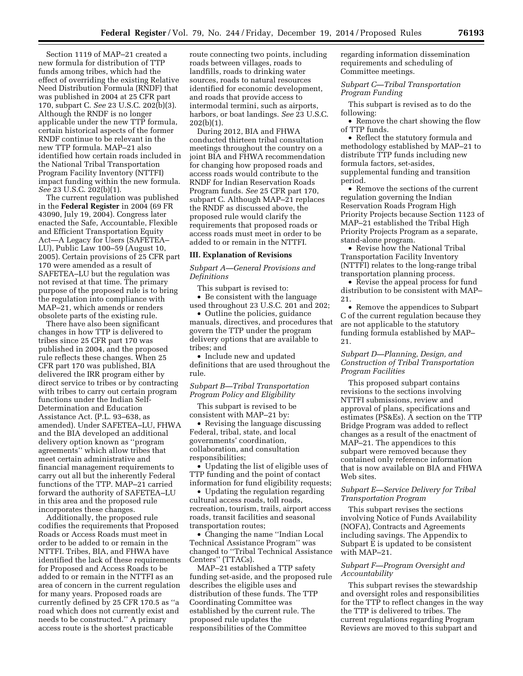Section 1119 of MAP–21 created a new formula for distribution of TTP funds among tribes, which had the effect of overriding the existing Relative Need Distribution Formula (RNDF) that was published in 2004 at 25 CFR part 170, subpart C. *See* 23 U.S.C. 202(b)(3). Although the RNDF is no longer applicable under the new TTP formula, certain historical aspects of the former RNDF continue to be relevant in the new TTP formula. MAP–21 also identified how certain roads included in the National Tribal Transportation Program Facility Inventory (NTTFI) impact funding within the new formula. *See* 23 U.S.C. 202(b)(1).

The current regulation was published in the **Federal Register** in 2004 (69 FR 43090, July 19, 2004). Congress later enacted the Safe, Accountable, Flexible and Efficient Transportation Equity Act—A Legacy for Users (SAFETEA– LU), Public Law 100–59 (August 10, 2005). Certain provisions of 25 CFR part 170 were amended as a result of SAFETEA–LU but the regulation was not revised at that time. The primary purpose of the proposed rule is to bring the regulation into compliance with MAP–21, which amends or renders obsolete parts of the existing rule.

There have also been significant changes in how TTP is delivered to tribes since 25 CFR part 170 was published in 2004, and the proposed rule reflects these changes. When 25 CFR part 170 was published, BIA delivered the IRR program either by direct service to tribes or by contracting with tribes to carry out certain program functions under the Indian Self-Determination and Education Assistance Act. (P.L. 93–638, as amended). Under SAFETEA–LU, FHWA and the BIA developed an additional delivery option known as ''program agreements'' which allow tribes that meet certain administrative and financial management requirements to carry out all but the inherently Federal functions of the TTP. MAP–21 carried forward the authority of SAFETEA–LU in this area and the proposed rule incorporates these changes.

Additionally, the proposed rule codifies the requirements that Proposed Roads or Access Roads must meet in order to be added to or remain in the NTTFI. Tribes, BIA, and FHWA have identified the lack of these requirements for Proposed and Access Roads to be added to or remain in the NTTFI as an area of concern in the current regulation for many years. Proposed roads are currently defined by 25 CFR 170.5 as ''a road which does not currently exist and needs to be constructed.'' A primary access route is the shortest practicable

route connecting two points, including roads between villages, roads to landfills, roads to drinking water sources, roads to natural resources identified for economic development, and roads that provide access to intermodal termini, such as airports, harbors, or boat landings. *See* 23 U.S.C. 202(b)(1).

During 2012, BIA and FHWA conducted thirteen tribal consultation meetings throughout the country on a joint BIA and FHWA recommendation for changing how proposed roads and access roads would contribute to the RNDF for Indian Reservation Roads Program funds. *See* 25 CFR part 170, subpart C. Although MAP–21 replaces the RNDF as discussed above, the proposed rule would clarify the requirements that proposed roads or access roads must meet in order to be added to or remain in the NTTFI.

#### **III. Explanation of Revisions**

*Subpart A—General Provisions and Definitions* 

This subpart is revised to: • Be consistent with the language used throughout 23 U.S.C. 201 and 202;

• Outline the policies, guidance manuals, directives, and procedures that govern the TTP under the program delivery options that are available to tribes; and

• Include new and updated definitions that are used throughout the rule.

# *Subpart B—Tribal Transportation Program Policy and Eligibility*

This subpart is revised to be consistent with MAP–21 by:

• Revising the language discussing Federal, tribal, state, and local governments' coordination, collaboration, and consultation responsibilities;

• Updating the list of eligible uses of TTP funding and the point of contact information for fund eligibility requests;

• Updating the regulation regarding cultural access roads, toll roads, recreation, tourism, trails, airport access roads, transit facilities and seasonal transportation routes;

• Changing the name ''Indian Local Technical Assistance Program'' was changed to ''Tribal Technical Assistance Centers'' (TTACs).

MAP–21 established a TTP safety funding set-aside, and the proposed rule describes the eligible uses and distribution of these funds. The TTP Coordinating Committee was established by the current rule. The proposed rule updates the responsibilities of the Committee

regarding information dissemination requirements and scheduling of Committee meetings.

# *Subpart C—Tribal Transportation Program Funding*

This subpart is revised as to do the following:

• Remove the chart showing the flow of TTP funds.

• Reflect the statutory formula and methodology established by MAP–21 to distribute TTP funds including new formula factors, set-asides, supplemental funding and transition period.

• Remove the sections of the current regulation governing the Indian Reservation Roads Program High Priority Projects because Section 1123 of MAP–21 established the Tribal High Priority Projects Program as a separate, stand-alone program.

• Revise how the National Tribal Transportation Facility Inventory (NTTFI) relates to the long-range tribal transportation planning process.

• Revise the appeal process for fund distribution to be consistent with MAP– 21.

• Remove the appendices to Subpart C of the current regulation because they are not applicable to the statutory funding formula established by MAP– 21.

# *Subpart D—Planning, Design, and Construction of Tribal Transportation Program Facilities*

This proposed subpart contains revisions to the sections involving NTTFI submissions, review and approval of plans, specifications and estimates (PS&Es). A section on the TTP Bridge Program was added to reflect changes as a result of the enactment of MAP–21. The appendices to this subpart were removed because they contained only reference information that is now available on BIA and FHWA Web sites.

# *Subpart E—Service Delivery for Tribal Transportation Program*

This subpart revises the sections involving Notice of Funds Availability (NOFA), Contracts and Agreements including savings. The Appendix to Subpart E is updated to be consistent with MAP–21.

# *Subpart F—Program Oversight and Accountability*

This subpart revises the stewardship and oversight roles and responsibilities for the TTP to reflect changes in the way the TTP is delivered to tribes. The current regulations regarding Program Reviews are moved to this subpart and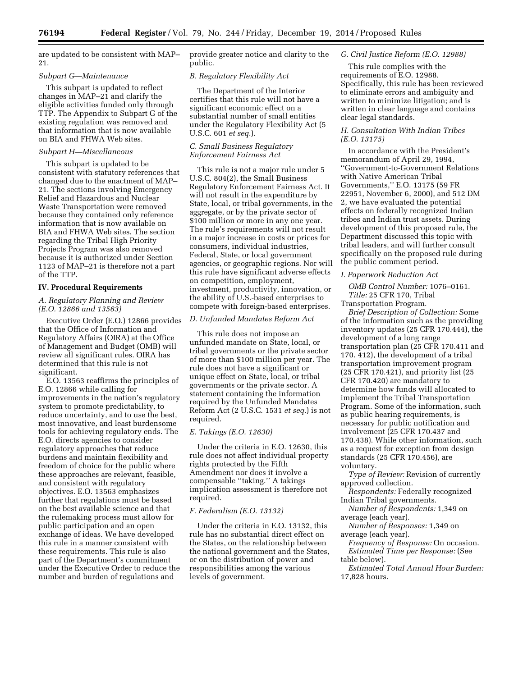are updated to be consistent with MAP– 21.

#### *Subpart G—Maintenance*

This subpart is updated to reflect changes in MAP–21 and clarify the eligible activities funded only through TTP. The Appendix to Subpart G of the existing regulation was removed and that information that is now available on BIA and FHWA Web sites.

#### *Subpart H—Miscellaneous*

This subpart is updated to be consistent with statutory references that changed due to the enactment of MAP– 21. The sections involving Emergency Relief and Hazardous and Nuclear Waste Transportation were removed because they contained only reference information that is now available on BIA and FHWA Web sites. The section regarding the Tribal High Priority Projects Program was also removed because it is authorized under Section 1123 of MAP–21 is therefore not a part of the TTP.

#### **IV. Procedural Requirements**

# *A. Regulatory Planning and Review (E.O. 12866 and 13563)*

Executive Order (E.O.) 12866 provides that the Office of Information and Regulatory Affairs (OIRA) at the Office of Management and Budget (OMB) will review all significant rules. OIRA has determined that this rule is not significant.

E.O. 13563 reaffirms the principles of E.O. 12866 while calling for improvements in the nation's regulatory system to promote predictability, to reduce uncertainty, and to use the best, most innovative, and least burdensome tools for achieving regulatory ends. The E.O. directs agencies to consider regulatory approaches that reduce burdens and maintain flexibility and freedom of choice for the public where these approaches are relevant, feasible, and consistent with regulatory objectives. E.O. 13563 emphasizes further that regulations must be based on the best available science and that the rulemaking process must allow for public participation and an open exchange of ideas. We have developed this rule in a manner consistent with these requirements. This rule is also part of the Department's commitment under the Executive Order to reduce the number and burden of regulations and

provide greater notice and clarity to the public.

# *B. Regulatory Flexibility Act*

The Department of the Interior certifies that this rule will not have a significant economic effect on a substantial number of small entities under the Regulatory Flexibility Act (5 U.S.C. 601 *et seq.*).

# *C. Small Business Regulatory Enforcement Fairness Act*

This rule is not a major rule under 5 U.S.C. 804(2), the Small Business Regulatory Enforcement Fairness Act. It will not result in the expenditure by State, local, or tribal governments, in the aggregate, or by the private sector of \$100 million or more in any one year. The rule's requirements will not result in a major increase in costs or prices for consumers, individual industries, Federal, State, or local government agencies, or geographic regions. Nor will this rule have significant adverse effects on competition, employment, investment, productivity, innovation, or the ability of U.S.-based enterprises to compete with foreign-based enterprises.

# *D. Unfunded Mandates Reform Act*

This rule does not impose an unfunded mandate on State, local, or tribal governments or the private sector of more than \$100 million per year. The rule does not have a significant or unique effect on State, local, or tribal governments or the private sector. A statement containing the information required by the Unfunded Mandates Reform Act (2 U.S.C. 1531 *et seq.*) is not required.

# *E. Takings (E.O. 12630)*

Under the criteria in E.O. 12630, this rule does not affect individual property rights protected by the Fifth Amendment nor does it involve a compensable ''taking.'' A takings implication assessment is therefore not required.

# *F. Federalism (E.O. 13132)*

Under the criteria in E.O. 13132, this rule has no substantial direct effect on the States, on the relationship between the national government and the States, or on the distribution of power and responsibilities among the various levels of government.

#### *G. Civil Justice Reform (E.O. 12988)*

This rule complies with the requirements of E.O. 12988. Specifically, this rule has been reviewed to eliminate errors and ambiguity and written to minimize litigation; and is written in clear language and contains clear legal standards.

# *H. Consultation With Indian Tribes (E.O. 13175)*

In accordance with the President's memorandum of April 29, 1994, ''Government-to-Government Relations with Native American Tribal Governments,'' E.O. 13175 (59 FR 22951, November 6, 2000), and 512 DM 2, we have evaluated the potential effects on federally recognized Indian tribes and Indian trust assets. During development of this proposed rule, the Department discussed this topic with tribal leaders, and will further consult specifically on the proposed rule during the public comment period.

#### *I. Paperwork Reduction Act*

*OMB Control Number:* 1076–0161. *Title:* 25 CFR 170, Tribal

Transportation Program. *Brief Description of Collection:* Some of the information such as the providing inventory updates (25 CFR 170.444), the development of a long range transportation plan (25 CFR 170.411 and 170. 412), the development of a tribal transportation improvement program (25 CFR 170.421), and priority list (25 CFR 170.420) are mandatory to determine how funds will allocated to implement the Tribal Transportation Program. Some of the information, such as public hearing requirements, is necessary for public notification and involvement (25 CFR 170.437 and 170.438). While other information, such as a request for exception from design standards (25 CFR 170.456), are voluntary.

*Type of Review:* Revision of currently approved collection.

*Respondents:* Federally recognized Indian Tribal governments.

*Number of Respondents:* 1,349 on average (each year).

*Number of Responses:* 1,349 on average (each year).

*Frequency of Response:* On occasion.

*Estimated Time per Response:* (See table below).

*Estimated Total Annual Hour Burden:*  17,828 hours.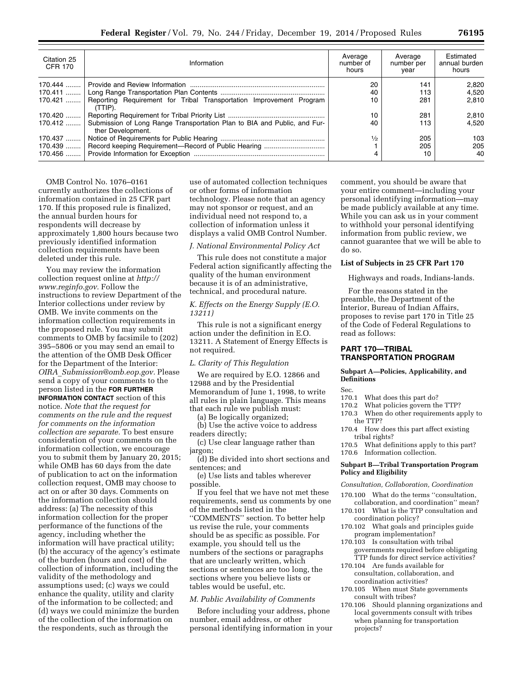| Citation 25<br><b>CFR 170</b> | Information                                                                                   | Average<br>number of<br>hours | Average<br>number per<br>vear | Estimated<br>annual burden<br>hours |
|-------------------------------|-----------------------------------------------------------------------------------------------|-------------------------------|-------------------------------|-------------------------------------|
| $170.444$                     |                                                                                               | 20                            | 141                           | 2.820                               |
| $170.411$                     |                                                                                               | 40                            | 113                           | 4.520                               |
| $170.421$                     | Reporting Requirement for Tribal Transportation Improvement Program<br>(TTIP).                | 10                            | 281                           | 2.810                               |
| $170.420$                     |                                                                                               | 10                            | 281                           | 2,810                               |
| $170.412$                     | Submission of Long Range Transportation Plan to BIA and Public, and Fur-<br>ther Development. | 40                            | 113                           | 4.520                               |
| $170.437$                     |                                                                                               | $\frac{1}{2}$                 | 205                           | 103                                 |
| 170.439                       |                                                                                               |                               | 205                           | 205                                 |
| $170.456$                     |                                                                                               | 4                             | 10                            | 40                                  |

OMB Control No. 1076–0161 currently authorizes the collections of information contained in 25 CFR part 170. If this proposed rule is finalized, the annual burden hours for respondents will decrease by approximately 1,800 hours because two previously identified information collection requirements have been deleted under this rule.

You may review the information collection request online at *[http://](http://www.reginfo.gov) [www.reginfo.gov.](http://www.reginfo.gov)* Follow the instructions to review Department of the Interior collections under review by OMB. We invite comments on the information collection requirements in the proposed rule. You may submit comments to OMB by facsimile to (202) 395–5806 or you may send an email to the attention of the OMB Desk Officer for the Department of the Interior: *OIRA*\_*[Submission@omb.eop.gov.](mailto:OIRA_Submission@omb.eop.gov)* Please send a copy of your comments to the person listed in the **FOR FURTHER INFORMATION CONTACT** section of this notice. *Note that the request for comments on the rule and the request for comments on the information collection are separate.* To best ensure consideration of your comments on the information collection, we encourage you to submit them by January 20, 2015; while OMB has 60 days from the date of publication to act on the information collection request, OMB may choose to act on or after 30 days. Comments on the information collection should address: (a) The necessity of this information collection for the proper performance of the functions of the agency, including whether the information will have practical utility; (b) the accuracy of the agency's estimate of the burden (hours and cost) of the collection of information, including the validity of the methodology and assumptions used; (c) ways we could enhance the quality, utility and clarity of the information to be collected; and (d) ways we could minimize the burden of the collection of the information on the respondents, such as through the

use of automated collection techniques or other forms of information technology. Please note that an agency may not sponsor or request, and an individual need not respond to, a collection of information unless it displays a valid OMB Control Number.

# *J. National Environmental Policy Act*

This rule does not constitute a major Federal action significantly affecting the quality of the human environment because it is of an administrative, technical, and procedural nature.

# *K. Effects on the Energy Supply (E.O. 13211)*

This rule is not a significant energy action under the definition in E.O. 13211. A Statement of Energy Effects is not required.

#### *L. Clarity of This Regulation*

We are required by E.O. 12866 and 12988 and by the Presidential Memorandum of June 1, 1998, to write all rules in plain language. This means that each rule we publish must:

(a) Be logically organized;

(b) Use the active voice to address readers directly;

(c) Use clear language rather than jargon;

(d) Be divided into short sections and sentences; and

(e) Use lists and tables wherever possible.

If you feel that we have not met these requirements, send us comments by one of the methods listed in the ''COMMENTS'' section. To better help us revise the rule, your comments should be as specific as possible. For example, you should tell us the numbers of the sections or paragraphs that are unclearly written, which sections or sentences are too long, the sections where you believe lists or tables would be useful, etc.

# *M. Public Availability of Comments*

Before including your address, phone number, email address, or other personal identifying information in your

comment, you should be aware that your entire comment—including your personal identifying information—may be made publicly available at any time. While you can ask us in your comment to withhold your personal identifying information from public review, we cannot guarantee that we will be able to do so.

# **List of Subjects in 25 CFR Part 170**

Highways and roads, Indians-lands.

For the reasons stated in the preamble, the Department of the Interior, Bureau of Indian Affairs, proposes to revise part 170 in Title 25 of the Code of Federal Regulations to read as follows:

# **PART 170—TRIBAL TRANSPORTATION PROGRAM**

# **Subpart A—Policies, Applicability, and Definitions**

Sec.

# 170.1 What does this part do?

- 170.2 What policies govern the TTP?
- 170.3 When do other requirements apply to the TTP?
- 170.4 How does this part affect existing tribal rights?
- 170.5 What definitions apply to this part? 170.6 Information collection.

# **Subpart B—Tribal Transportation Program Policy and Eligibility**

# *Consultation, Collaboration, Coordination*

- 170.100 What do the terms ''consultation, collaboration, and coordination'' mean?
- 170.101 What is the TTP consultation and coordination policy?
- 170.102 What goals and principles guide program implementation?
- 170.103 Is consultation with tribal governments required before obligating TTP funds for direct service activities?
- 170.104 Are funds available for consultation, collaboration, and coordination activities?
- 170.105 When must State governments consult with tribes?
- 170.106 Should planning organizations and local governments consult with tribes when planning for transportation projects?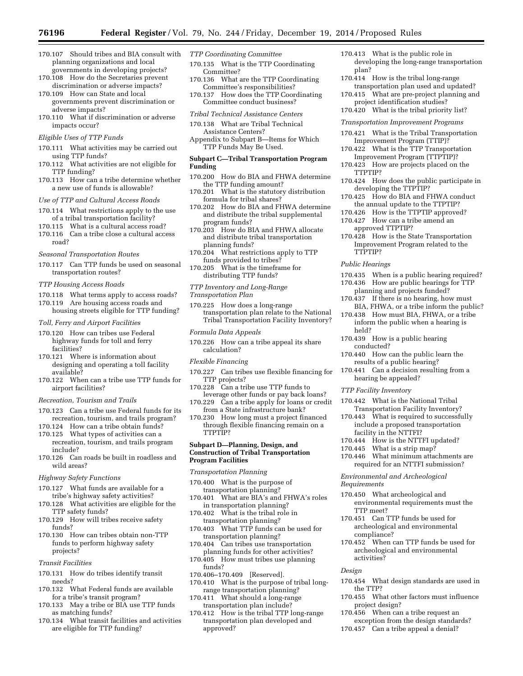- 170.107 Should tribes and BIA consult with planning organizations and local governments in developing projects?
- 170.108 How do the Secretaries prevent discrimination or adverse impacts? 170.109 How can State and local
- governments prevent discrimination or adverse impacts?
- 170.110 What if discrimination or adverse impacts occur?

# *Eligible Uses of TTP Funds*

- 170.111 What activities may be carried out using TTP funds?
- 170.112 What activities are not eligible for TTP funding?
- 170.113 How can a tribe determine whether a new use of funds is allowable?
- *Use of TTP and Cultural Access Roads*
- 170.114 What restrictions apply to the use of a tribal transportation facility?
- 170.115 What is a cultural access road?
- 170.116 Can a tribe close a cultural access road?
- *Seasonal Transportation Routes*
- 170.117 Can TTP funds be used on seasonal transportation routes?
- *TTP Housing Access Roads*
- 170.118 What terms apply to access roads?
- 170.119 Are housing access roads and housing streets eligible for TTP funding?
- *Toll, Ferry and Airport Facilities*
- 170.120 How can tribes use Federal highway funds for toll and ferry facilities?
- 170.121 Where is information about designing and operating a toll facility available?
- 170.122 When can a tribe use TTP funds for airport facilities?
- *Recreation, Tourism and Trails*
- 170.123 Can a tribe use Federal funds for its recreation, tourism, and trails program?
- 170.124 How can a tribe obtain funds?
- 170.125 What types of activities can a recreation, tourism, and trails program include?
- 170.126 Can roads be built in roadless and wild areas?
- *Highway Safety Functions*
- 170.127 What funds are available for a tribe's highway safety activities?
- 170.128 What activities are eligible for the TTP safety funds?
- 170.129 How will tribes receive safety funds?
- 170.130 How can tribes obtain non-TTP funds to perform highway safety projects?
- *Transit Facilities*
- 170.131 How do tribes identify transit needs?
- 170.132 What Federal funds are available for a tribe's transit program?
- 170.133 May a tribe or BIA use TTP funds as matching funds?
- 170.134 What transit facilities and activities are eligible for TTP funding?
- *TTP Coordinating Committee*
- 170.135 What is the TTP Coordinating Committee?
- 170.136 What are the TTP Coordinating Committee's responsibilities?
- 170.137 How does the TTP Coordinating Committee conduct business?

#### *Tribal Technical Assistance Centers*

- 170.138 What are Tribal Technical Assistance Centers?
- Appendix to Subpart B—Items for Which TTP Funds May Be Used.

#### **Subpart C—Tribal Transportation Program Funding**

- 170.200 How do BIA and FHWA determine the TTP funding amount?
- 170.201 What is the statutory distribution formula for tribal shares?
- 170.202 How do BIA and FHWA determine and distribute the tribal supplemental program funds?
- 170.203 How do BIA and FHWA allocate and distribute tribal transportation planning funds?
- 170.204 What restrictions apply to TTP funds provided to tribes?
- 170.205 What is the timeframe for distributing TTP funds?
- *TTP Inventory and Long-Range*

*Transportation Plan* 

- 170.225 How does a long-range transportation plan relate to the National Tribal Transportation Facility Inventory?
- *Formula Data Appeals*
- 170.226 How can a tribe appeal its share calculation?

#### *Flexible Financing*

- 170.227 Can tribes use flexible financing for TTP projects?
- 170.228 Can a tribe use TTP funds to leverage other funds or pay back loans?
- 170.229 Can a tribe apply for loans or credit from a State infrastructure bank?
- 170.230 How long must a project financed through flexible financing remain on a TTPTIP?

#### **Subpart D—Planning, Design, and Construction of Tribal Transportation Program Facilities**

- *Transportation Planning*
- 170.400 What is the purpose of transportation planning?
- 170.401 What are BIA's and FHWA's roles in transportation planning?
- 170.402 What is the tribal role in transportation planning?
- 170.403 What TTP funds can be used for transportation planning?
- 170.404 Can tribes use transportation planning funds for other activities?
- 170.405 How must tribes use planning funds?
- 170.406–170.409 [Reserved].
- 170.410 What is the purpose of tribal longrange transportation planning?
- 170.411 What should a long-range transportation plan include?
- 170.412 How is the tribal TTP long-range transportation plan developed and approved?
- 170.413 What is the public role in developing the long-range transportation plan?
- 170.414 How is the tribal long-range transportation plan used and updated?
- 170.415 What are pre-project planning and project identification studies?
- 170.420 What is the tribal priority list?

#### *Transportation Improvement Programs*

- 170.421 What is the Tribal Transportation Improvement Program (TTIP)?
- 170.422 What is the TTP Transportation Improvement Program (TTPTIP)?
- 170.423 How are projects placed on the TTPTIP?
- 170.424 How does the public participate in developing the TTPTIP?
- 170.425 How do BIA and FHWA conduct the annual update to the TTPTIP?
- 170.426 How is the TTPTIP approved?
- 170.427 How can a tribe amend an approved TTPTIP?
- 170.428 How is the State Transportation Improvement Program related to the TTPTIP?
- *Public Hearings*
- 170.435 When is a public hearing required?
- 170.436 How are public hearings for TTP planning and projects funded?
- 170.437 If there is no hearing, how must BIA, FHWA, or a tribe inform the public?
- 170.438 How must BIA, FHWA, or a tribe inform the public when a hearing is held?
- 170.439 How is a public hearing conducted?
- 170.440 How can the public learn the results of a public hearing?
- 170.441 Can a decision resulting from a hearing be appealed?
- *TTP Facility Inventory*

*Requirements* 

TTP meet?

compliance?

activities?

the TTP?

project design?

*Design* 

- 170.442 What is the National Tribal Transportation Facility Inventory?
- 170.443 What is required to successfully include a proposed transportation
- facility in the NTTFI? 170.444 How is the NTTFI updated?
- 170.445 What is a strip map?

*Environmental and Archeological* 

170.450 What archeological and

170.451 Can TTP funds be used for archeological and environmental

170.446 What minimum attachments are required for an NTTFI submission?

environmental requirements must the

170.452 When can TTP funds be used for archeological and environmental

170.454 What design standards are used in

170.455 What other factors must influence

170.456 When can a tribe request an exception from the design standards? 170.457 Can a tribe appeal a denial?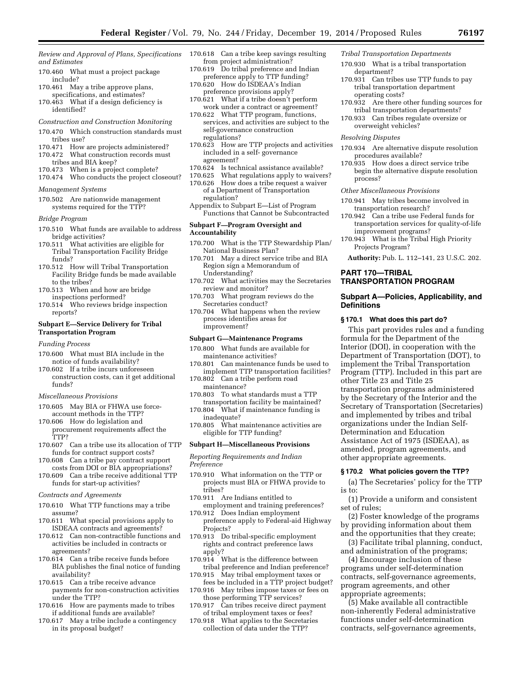*Review and Approval of Plans, Specifications and Estimates* 

- 170.460 What must a project package include?
- 170.461 May a tribe approve plans, specifications, and estimates?
- 170.463 What if a design deficiency is identified?

#### *Construction and Construction Monitoring*

- 170.470 Which construction standards must tribes use?
- 170.471 How are projects administered? 170.472 What construction records must
- tribes and BIA keep?
- 170.473 When is a project complete?
- 170.474 Who conducts the project closeout?

# *Management Systems*

170.502 Are nationwide management systems required for the TTP?

#### *Bridge Program*

- 170.510 What funds are available to address bridge activities?
- 170.511 What activities are eligible for Tribal Transportation Facility Bridge funds?
- 170.512 How will Tribal Transportation Facility Bridge funds be made available to the tribes?
- 170.513 When and how are bridge inspections performed?
- 170.514 Who reviews bridge inspection reports?

# **Subpart E—Service Delivery for Tribal Transportation Program**

- *Funding Process*
- 170.600 What must BIA include in the notice of funds availability?
- 170.602 If a tribe incurs unforeseen construction costs, can it get additional funds?

#### *Miscellaneous Provisions*

- 170.605 May BIA or FHWA use forceaccount methods in the TTP?
- 170.606 How do legislation and procurement requirements affect the TTP?
- 170.607 Can a tribe use its allocation of TTP funds for contract support costs?
- 170.608 Can a tribe pay contract support costs from DOI or BIA appropriations?
- 170.609 Can a tribe receive additional TTP funds for start-up activities?

#### *Contracts and Agreements*

- 170.610 What TTP functions may a tribe assume?
- 170.611 What special provisions apply to ISDEAA contracts and agreements?
- 170.612 Can non-contractible functions and activities be included in contracts or agreements?
- 170.614 Can a tribe receive funds before BIA publishes the final notice of funding availability?
- 170.615 Can a tribe receive advance payments for non-construction activities under the TTP?
- 170.616 How are payments made to tribes if additional funds are available?
- 170.617 May a tribe include a contingency in its proposal budget?
- 170.618 Can a tribe keep savings resulting from project administration?
- 170.619 Do tribal preference and Indian preference apply to TTP funding?
- 170.620 How do ISDEAA's Indian preference provisions apply?
- 170.621 What if a tribe doesn't perform work under a contract or agreement?
- 170.622 What TTP program, functions, services, and activities are subject to the self-governance construction regulations?
- 170.623 How are TTP projects and activities included in a self- governance agreement?
- 170.624 Is technical assistance available?<br>170.625 What regulations apply to waiver
- What regulations apply to waivers?
- 170.626 How does a tribe request a waiver of a Department of Transportation regulation?
- Appendix to Subpart E—List of Program Functions that Cannot be Subcontracted

#### **Subpart F—Program Oversight and Accountability**

- 170.700 What is the TTP Stewardship Plan/ National Business Plan?
- 170.701 May a direct service tribe and BIA Region sign a Memorandum of Understanding?
- 170.702 What activities may the Secretaries review and monitor?
- 170.703 What program reviews do the Secretaries conduct?
- 170.704 What happens when the review process identifies areas for improvement?

# **Subpart G—Maintenance Programs**

- 170.800 What funds are available for maintenance activities?
- 170.801 Can maintenance funds be used to implement TTP transportation facilities?
- 170.802 Can a tribe perform road maintenance?
- 170.803 To what standards must a TTP transportation facility be maintained?
- 170.804 What if maintenance funding is inadequate?
- 170.805 What maintenance activities are eligible for TTP funding?

#### **Subpart H—Miscellaneous Provisions**

*Reporting Requirements and Indian Preference* 

- 170.910 What information on the TTP or projects must BIA or FHWA provide to tribes?
- 170.911 Are Indians entitled to employment and training preferences?
- 170.912 Does Indian employment preference apply to Federal-aid Highway Projects?
- 170.913 Do tribal-specific employment rights and contract preference laws apply?
- 170.914 What is the difference between tribal preference and Indian preference?
- 170.915 May tribal employment taxes or fees be included in a TTP project budget?
- 170.916 May tribes impose taxes or fees on those performing TTP services?
- 170.917 Can tribes receive direct payment of tribal employment taxes or fees?
- 170.918 What applies to the Secretaries collection of data under the TTP?

#### *Tribal Transportation Departments*

- 170.930 What is a tribal transportation department?
- 170.931 Can tribes use TTP funds to pay tribal transportation department operating costs?
- 170.932 Are there other funding sources for tribal transportation departments?
- 170.933 Can tribes regulate oversize or overweight vehicles?

# *Resolving Disputes*

- 170.934 Are alternative dispute resolution procedures available?
- 170.935 How does a direct service tribe begin the alternative dispute resolution process?

#### *Other Miscellaneous Provisions*

- 170.941 May tribes become involved in transportation research?
- 170.942 Can a tribe use Federal funds for transportation services for quality-of-life improvement programs?
- 170.943 What is the Tribal High Priority Projects Program?
- **Authority:** Pub. L. 112–141, 23 U.S.C. 202.

# **PART 170—TRIBAL TRANSPORTATION PROGRAM**

#### **Subpart A—Policies, Applicability, and Definitions**

#### **§ 170.1 What does this part do?**

This part provides rules and a funding formula for the Department of the Interior (DOI), in cooperation with the Department of Transportation (DOT), to implement the Tribal Transportation Program (TTP). Included in this part are other Title 23 and Title 25 transportation programs administered by the Secretary of the Interior and the Secretary of Transportation (Secretaries) and implemented by tribes and tribal organizations under the Indian Self-Determination and Education Assistance Act of 1975 (ISDEAA), as amended, program agreements, and other appropriate agreements.

#### **§ 170.2 What policies govern the TTP?**

(a) The Secretaries' policy for the TTP is to:

(1) Provide a uniform and consistent set of rules;

- (2) Foster knowledge of the programs by providing information about them and the opportunities that they create;
- (3) Facilitate tribal planning, conduct, and administration of the programs;
- (4) Encourage inclusion of these programs under self-determination contracts, self-governance agreements, program agreements, and other
- appropriate agreements;
- (5) Make available all contractible non-inherently Federal administrative functions under self-determination contracts, self-governance agreements,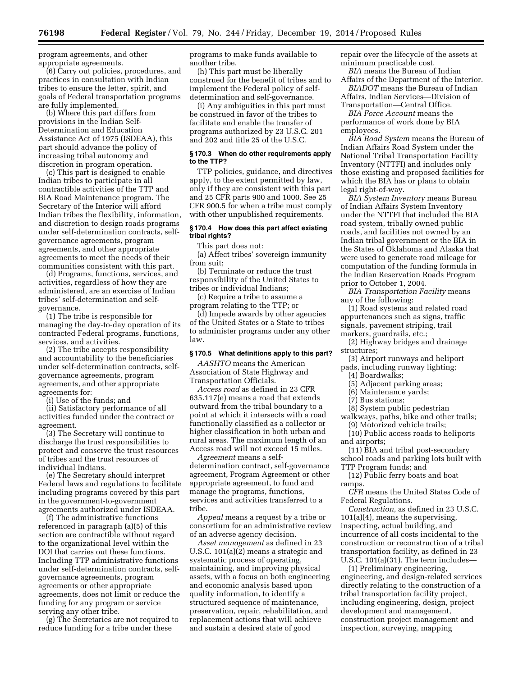program agreements, and other appropriate agreements.

(6) Carry out policies, procedures, and practices in consultation with Indian tribes to ensure the letter, spirit, and goals of Federal transportation programs are fully implemented.

(b) Where this part differs from provisions in the Indian Self-Determination and Education Assistance Act of 1975 (ISDEAA), this part should advance the policy of increasing tribal autonomy and discretion in program operation.

(c) This part is designed to enable Indian tribes to participate in all contractible activities of the TTP and BIA Road Maintenance program. The Secretary of the Interior will afford Indian tribes the flexibility, information, and discretion to design roads programs under self-determination contracts, selfgovernance agreements, program agreements, and other appropriate agreements to meet the needs of their communities consistent with this part.

(d) Programs, functions, services, and activities, regardless of how they are administered, are an exercise of Indian tribes' self-determination and selfgovernance.

(1) The tribe is responsible for managing the day-to-day operation of its contracted Federal programs, functions, services, and activities.

(2) The tribe accepts responsibility and accountability to the beneficiaries under self-determination contracts, selfgovernance agreements, program agreements, and other appropriate agreements for:

(i) Use of the funds; and

(ii) Satisfactory performance of all activities funded under the contract or agreement.

(3) The Secretary will continue to discharge the trust responsibilities to protect and conserve the trust resources of tribes and the trust resources of individual Indians.

(e) The Secretary should interpret Federal laws and regulations to facilitate including programs covered by this part in the government-to-government agreements authorized under ISDEAA.

(f) The administrative functions referenced in paragraph (a)(5) of this section are contractible without regard to the organizational level within the DOI that carries out these functions. Including TTP administrative functions under self-determination contracts, selfgovernance agreements, program agreements or other appropriate agreements, does not limit or reduce the funding for any program or service serving any other tribe.

(g) The Secretaries are not required to reduce funding for a tribe under these

programs to make funds available to another tribe.

(h) This part must be liberally construed for the benefit of tribes and to implement the Federal policy of selfdetermination and self-governance.

(i) Any ambiguities in this part must be construed in favor of the tribes to facilitate and enable the transfer of programs authorized by 23 U.S.C. 201 and 202 and title 25 of the U.S.C.

#### **§ 170.3 When do other requirements apply to the TTP?**

TTP policies, guidance, and directives apply, to the extent permitted by law, only if they are consistent with this part and 25 CFR parts 900 and 1000. See 25 CFR 900.5 for when a tribe must comply with other unpublished requirements.

# **§ 170.4 How does this part affect existing tribal rights?**

This part does not:

(a) Affect tribes' sovereign immunity from suit;

(b) Terminate or reduce the trust responsibility of the United States to tribes or individual Indians;

(c) Require a tribe to assume a program relating to the TTP; or

(d) Impede awards by other agencies of the United States or a State to tribes to administer programs under any other law.

# **§ 170.5 What definitions apply to this part?**

*AASHTO* means the American Association of State Highway and Transportation Officials.

*Access road* as defined in 23 CFR 635.117(e) means a road that extends outward from the tribal boundary to a point at which it intersects with a road functionally classified as a collector or higher classification in both urban and rural areas. The maximum length of an Access road will not exceed 15 miles.

*Agreement* means a selfdetermination contract, self-governance agreement, Program Agreement or other appropriate agreement, to fund and manage the programs, functions, services and activities transferred to a tribe.

*Appeal* means a request by a tribe or consortium for an administrative review of an adverse agency decision.

*Asset management* as defined in 23 U.S.C. 101(a)(2) means a strategic and systematic process of operating, maintaining, and improving physical assets, with a focus on both engineering and economic analysis based upon quality information, to identify a structured sequence of maintenance, preservation, repair, rehabilitation, and replacement actions that will achieve and sustain a desired state of good

repair over the lifecycle of the assets at minimum practicable cost.

*BIA* means the Bureau of Indian Affairs of the Department of the Interior. *BIADOT* means the Bureau of Indian Affairs, Indian Services—Division of

Transportation—Central Office. *BIA Force Account* means the

performance of work done by BIA employees.

*BIA Road System* means the Bureau of Indian Affairs Road System under the National Tribal Transportation Facility Inventory (NTTFI) and includes only those existing and proposed facilities for which the BIA has or plans to obtain legal right-of-way.

*BIA System Inventory* means Bureau of Indian Affairs System Inventory under the NTTFI that included the BIA road system, tribally owned public roads, and facilities not owned by an Indian tribal government or the BIA in the States of Oklahoma and Alaska that were used to generate road mileage for computation of the funding formula in the Indian Reservation Roads Program prior to October 1, 2004.

*BIA Transportation Facility* means any of the following:

(1) Road systems and related road appurtenances such as signs, traffic signals, pavement striping, trail markers, guardrails, etc.;

- (2) Highway bridges and drainage structures;
- (3) Airport runways and heliport
- pads, including runway lighting;
	- (4) Boardwalks;
	- (5) Adjacent parking areas;
	- (6) Maintenance yards;
	- (7) Bus stations;
- (8) System public pedestrian walkways, paths, bike and other trails;
- (9) Motorized vehicle trails; (10) Public access roads to heliports and airports;
- 

(11) BIA and tribal post-secondary school roads and parking lots built with TTP Program funds; and

(12) Public ferry boats and boat ramps.

*CFR* means the United States Code of Federal Regulations.

*Construction,* as defined in 23 U.S.C. 101(a)(4), means the supervising, inspecting, actual building, and incurrence of all costs incidental to the construction or reconstruction of a tribal transportation facility, as defined in 23 U.S.C. 101(a)(31). The term includes—

(1) Preliminary engineering, engineering, and design-related services directly relating to the construction of a tribal transportation facility project, including engineering, design, project development and management, construction project management and inspection, surveying, mapping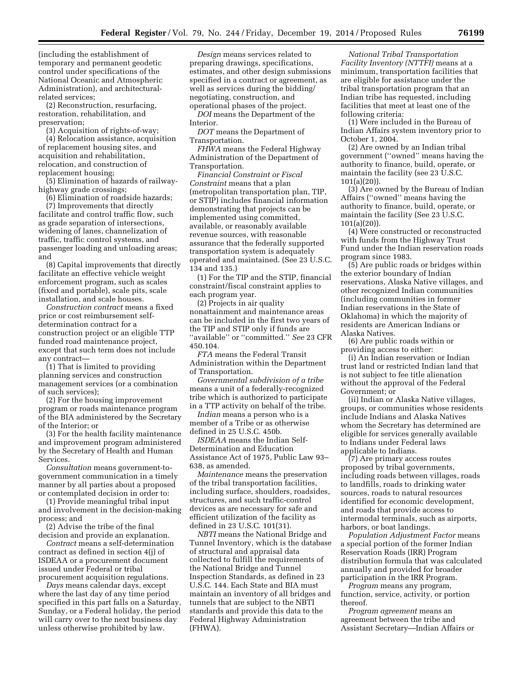(including the establishment of temporary and permanent geodetic control under specifications of the National Oceanic and Atmospheric Administration), and architecturalrelated services;

(2) Reconstruction, resurfacing, restoration, rehabilitation, and preservation;

(3) Acquisition of rights-of-way;

(4) Relocation assistance, acquisition of replacement housing sites, and acquisition and rehabilitation, relocation, and construction of replacement housing;

(5) Elimination of hazards of railwayhighway grade crossings;

(6) Elimination of roadside hazards;

(7) Improvements that directly facilitate and control traffic flow, such as grade separation of intersections, widening of lanes, channelization of traffic, traffic control systems, and passenger loading and unloading areas; and

(8) Capital improvements that directly facilitate an effective vehicle weight enforcement program, such as scales (fixed and portable), scale pits, scale installation, and scale houses.

*Construction contract* means a fixed price or cost reimbursement selfdetermination contract for a construction project or an eligible TTP funded road maintenance project, except that such term does not include any contract—

(1) That is limited to providing planning services and construction management services (or a combination of such services);

(2) For the housing improvement program or roads maintenance program of the BIA administered by the Secretary of the Interior; or

(3) For the health facility maintenance and improvement program administered by the Secretary of Health and Human Services.

*Consultation* means government-togovernment communication in a timely manner by all parties about a proposed or contemplated decision in order to:

(1) Provide meaningful tribal input and involvement in the decision-making process; and

(2) Advise the tribe of the final decision and provide an explanation.

*Contract* means a self-determination contract as defined in section 4(j) of ISDEAA or a procurement document issued under Federal or tribal procurement acquisition regulations.

*Days* means calendar days, except where the last day of any time period specified in this part falls on a Saturday, Sunday, or a Federal holiday, the period will carry over to the next business day unless otherwise prohibited by law.

*Design* means services related to preparing drawings, specifications, estimates, and other design submissions specified in a contract or agreement, as well as services during the bidding/ negotiating, construction, and operational phases of the project.

*DOI* means the Department of the Interior.

*DOT* means the Department of Transportation.

*FHWA* means the Federal Highway Administration of the Department of Transportation.

*Financial Constraint or Fiscal Constraint* means that a plan (metropolitan transportation plan, TIP, or STIP) includes financial information demonstrating that projects can be implemented using committed, available, or reasonably available revenue sources, with reasonable assurance that the federally supported transportation system is adequately operated and maintained. (See 23 U.S.C. 134 and 135.)

(1) For the TIP and the STIP, financial constraint/fiscal constraint applies to each program year.

(2) Projects in air quality nonattainment and maintenance areas can be included in the first two years of the TIP and STIP only if funds are ''available'' or ''committed.'' *See* 23 CFR 450.104.

*FTA* means the Federal Transit Administration within the Department of Transportation.

*Governmental subdivision of a tribe*  means a unit of a federally-recognized tribe which is authorized to participate in a TTP activity on behalf of the tribe.

*Indian* means a person who is a member of a Tribe or as otherwise defined in 25 U.S.C. 450b.

*ISDEAA* means the Indian Self-Determination and Education Assistance Act of 1975, Public Law 93– 638, as amended.

*Maintenance* means the preservation of the tribal transportation facilities, including surface, shoulders, roadsides, structures, and such traffic-control devices as are necessary for safe and efficient utilization of the facility as defined in 23 U.S.C. 101(31).

*NBTI* means the National Bridge and Tunnel Inventory, which is the database of structural and appraisal data collected to fulfill the requirements of the National Bridge and Tunnel Inspection Standards, as defined in 23 U.S.C. 144. Each State and BIA must maintain an inventory of all bridges and tunnels that are subject to the NBTI standards and provide this data to the Federal Highway Administration (FHWA).

*National Tribal Transportation Facility Inventory (NTTFI)* means at a minimum, transportation facilities that are eligible for assistance under the tribal transportation program that an Indian tribe has requested, including facilities that meet at least one of the following criteria:

(1) Were included in the Bureau of Indian Affairs system inventory prior to October 1, 2004.

(2) Are owned by an Indian tribal government (''owned'' means having the authority to finance, build, operate, or maintain the facility (see 23 U.S.C.  $101(a)(20)$ .

(3) Are owned by the Bureau of Indian Affairs (''owned'' means having the authority to finance, build, operate, or maintain the facility (See 23 U.S.C. 101(a)(20)).

(4) Were constructed or reconstructed with funds from the Highway Trust Fund under the Indian reservation roads program since 1983.

(5) Are public roads or bridges within the exterior boundary of Indian reservations, Alaska Native villages, and other recognized Indian communities (including communities in former Indian reservations in the State of Oklahoma) in which the majority of residents are American Indians or Alaska Natives.

(6) Are public roads within or providing access to either:

(i) An Indian reservation or Indian trust land or restricted Indian land that is not subject to fee title alienation without the approval of the Federal Government; or

(ii) Indian or Alaska Native villages, groups, or communities whose residents include Indians and Alaska Natives whom the Secretary has determined are eligible for services generally available to Indians under Federal laws applicable to Indians.

(7) Are primary access routes proposed by tribal governments, including roads between villages, roads to landfills, roads to drinking water sources, roads to natural resources identified for economic development, and roads that provide access to intermodal terminals, such as airports, harbors, or boat landings.

*Population Adjustment Factor* means a special portion of the former Indian Reservation Roads (IRR) Program distribution formula that was calculated annually and provided for broader participation in the IRR Program.

*Program* means any program, function, service, activity, or portion thereof.

*Program agreement* means an agreement between the tribe and Assistant Secretary—Indian Affairs or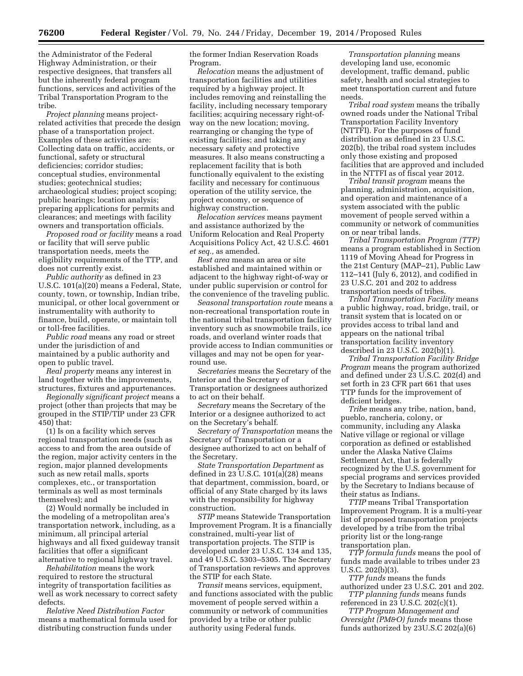the Administrator of the Federal Highway Administration, or their respective designees, that transfers all but the inherently federal program functions, services and activities of the Tribal Transportation Program to the tribe.

*Project planning* means projectrelated activities that precede the design phase of a transportation project. Examples of these activities are: Collecting data on traffic, accidents, or functional, safety or structural deficiencies; corridor studies; conceptual studies, environmental studies; geotechnical studies; archaeological studies; project scoping; public hearings; location analysis; preparing applications for permits and clearances; and meetings with facility owners and transportation officials.

*Proposed road or facility* means a road or facility that will serve public transportation needs, meets the eligibility requirements of the TTP, and does not currently exist.

*Public authority* as defined in 23 U.S.C. 101(a)(20) means a Federal, State, county, town, or township, Indian tribe, municipal, or other local government or instrumentality with authority to finance, build, operate, or maintain toll or toll-free facilities.

*Public road* means any road or street under the jurisdiction of and maintained by a public authority and open to public travel.

*Real property* means any interest in land together with the improvements, structures, fixtures and appurtenances.

*Regionally significant project* means a project (other than projects that may be grouped in the STIP/TIP under 23 CFR 450) that:

(1) Is on a facility which serves regional transportation needs (such as access to and from the area outside of the region, major activity centers in the region, major planned developments such as new retail malls, sports complexes, etc., or transportation terminals as well as most terminals themselves); and

(2) Would normally be included in the modeling of a metropolitan area's transportation network, including, as a minimum, all principal arterial highways and all fixed guideway transit facilities that offer a significant alternative to regional highway travel.

*Rehabilitation* means the work required to restore the structural integrity of transportation facilities as well as work necessary to correct safety defects.

*Relative Need Distribution Factor*  means a mathematical formula used for distributing construction funds under

the former Indian Reservation Roads Program.

*Relocation* means the adjustment of transportation facilities and utilities required by a highway project. It includes removing and reinstalling the facility, including necessary temporary facilities; acquiring necessary right-ofway on the new location; moving, rearranging or changing the type of existing facilities; and taking any necessary safety and protective measures. It also means constructing a replacement facility that is both functionally equivalent to the existing facility and necessary for continuous operation of the utility service, the project economy, or sequence of highway construction.

*Relocation services* means payment and assistance authorized by the Uniform Relocation and Real Property Acquisitions Policy Act, 42 U.S.C. 4601 *et seq.,* as amended.

*Rest area* means an area or site established and maintained within or adjacent to the highway right-of-way or under public supervision or control for the convenience of the traveling public.

*Seasonal transportation route* means a non-recreational transportation route in the national tribal transportation facility inventory such as snowmobile trails, ice roads, and overland winter roads that provide access to Indian communities or villages and may not be open for yearround use.

*Secretaries* means the Secretary of the Interior and the Secretary of Transportation or designees authorized to act on their behalf.

*Secretary* means the Secretary of the Interior or a designee authorized to act on the Secretary's behalf.

*Secretary of Transportation* means the Secretary of Transportation or a designee authorized to act on behalf of the Secretary.

*State Transportation Department* as defined in 23 U.S.C. 101(a)(28) means that department, commission, board, or official of any State charged by its laws with the responsibility for highway construction.

*STIP* means Statewide Transportation Improvement Program. It is a financially constrained, multi-year list of transportation projects. The STIP is developed under 23 U.S.C. 134 and 135, and 49 U.S.C. 5303–5305. The Secretary of Transportation reviews and approves the STIP for each State.

*Transit* means services, equipment, and functions associated with the public movement of people served within a community or network of communities provided by a tribe or other public authority using Federal funds.

*Transportation planning* means developing land use, economic development, traffic demand, public safety, health and social strategies to meet transportation current and future needs.

*Tribal road system* means the tribally owned roads under the National Tribal Transportation Facility Inventory (NTTFI). For the purposes of fund distribution as defined in 23 U.S.C. 202(b), the tribal road system includes only those existing and proposed facilities that are approved and included in the NTTFI as of fiscal year 2012.

*Tribal transit program* means the planning, administration, acquisition, and operation and maintenance of a system associated with the public movement of people served within a community or network of communities on or near tribal lands.

*Tribal Transportation Program (TTP)*  means a program established in Section 1119 of Moving Ahead for Progress in the 21st Century (MAP–21), Public Law 112–141 (July 6, 2012), and codified in 23 U.S.C. 201 and 202 to address transportation needs of tribes.

*Tribal Transportation Facility* means a public highway, road, bridge, trail, or transit system that is located on or provides access to tribal land and appears on the national tribal transportation facility inventory described in 23 U.S.C. 202(b)(1).

*Tribal Transportation Facility Bridge Program* means the program authorized and defined under 23 U.S.C. 202(d) and set forth in 23 CFR part 661 that uses TTP funds for the improvement of deficient bridges.

*Tribe* means any tribe, nation, band, pueblo, rancheria, colony, or community, including any Alaska Native village or regional or village corporation as defined or established under the Alaska Native Claims Settlement Act, that is federally recognized by the U.S. government for special programs and services provided by the Secretary to Indians because of their status as Indians.

*TTIP* means Tribal Transportation Improvement Program. It is a multi-year list of proposed transportation projects developed by a tribe from the tribal priority list or the long-range transportation plan.

*TTP formula funds* means the pool of funds made available to tribes under 23 U.S.C. 202(b)(3).

*TTP funds* means the funds authorized under 23 U.S.C. 201 and 202. *TTP planning funds* means funds

referenced in 23 U.S.C. 202(c)(1). *TTP Program Management and* 

*Oversight (PM&O) funds* means those funds authorized by 23U.S.C 202(a)(6)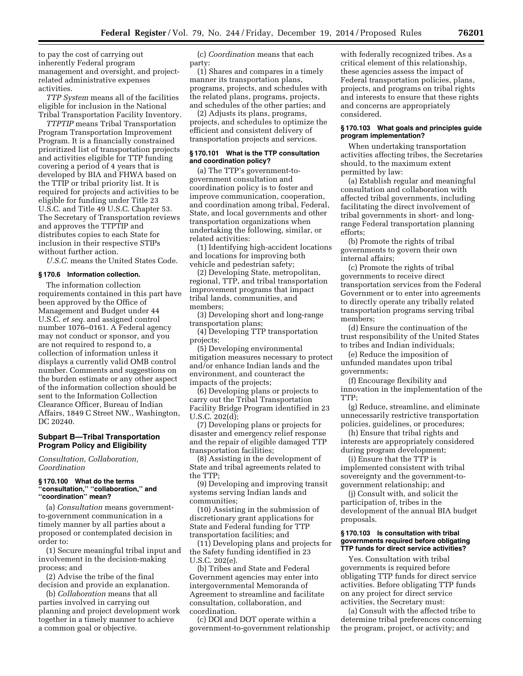to pay the cost of carrying out inherently Federal program management and oversight, and projectrelated administrative expenses activities.

*TTP System* means all of the facilities eligible for inclusion in the National Tribal Transportation Facility Inventory.

*TTPTIP* means Tribal Transportation Program Transportation Improvement Program. It is a financially constrained prioritized list of transportation projects and activities eligible for TTP funding covering a period of 4 years that is developed by BIA and FHWA based on the TTIP or tribal priority list. It is required for projects and activities to be eligible for funding under Title 23 U.S.C. and Title 49 U.S.C. Chapter 53. The Secretary of Transportation reviews and approves the TTPTIP and distributes copies to each State for inclusion in their respective STIPs without further action.

*U.S.C.* means the United States Code.

#### **§ 170.6 Information collection.**

The information collection requirements contained in this part have been approved by the Office of Management and Budget under 44 U.S.C. *et seq.* and assigned control number 1076–0161. A Federal agency may not conduct or sponsor, and you are not required to respond to, a collection of information unless it displays a currently valid OMB control number. Comments and suggestions on the burden estimate or any other aspect of the information collection should be sent to the Information Collection Clearance Officer, Bureau of Indian Affairs, 1849 C Street NW., Washington, DC 20240.

# **Subpart B—Tribal Transportation Program Policy and Eligibility**

*Consultation, Collaboration, Coordination* 

#### **§ 170.100 What do the terms ''consultation,'' ''collaboration,'' and ''coordination'' mean?**

(a) *Consultation* means governmentto-government communication in a timely manner by all parties about a proposed or contemplated decision in order to:

(1) Secure meaningful tribal input and involvement in the decision-making process; and

(2) Advise the tribe of the final decision and provide an explanation.

(b) *Collaboration* means that all parties involved in carrying out planning and project development work together in a timely manner to achieve a common goal or objective.

(c) *Coordination* means that each party:

(1) Shares and compares in a timely manner its transportation plans, programs, projects, and schedules with the related plans, programs, projects, and schedules of the other parties; and

(2) Adjusts its plans, programs, projects, and schedules to optimize the efficient and consistent delivery of transportation projects and services.

# **§ 170.101 What is the TTP consultation and coordination policy?**

(a) The TTP's government-togovernment consultation and coordination policy is to foster and improve communication, cooperation, and coordination among tribal, Federal, State, and local governments and other transportation organizations when undertaking the following, similar, or related activities:

(1) Identifying high-accident locations and locations for improving both vehicle and pedestrian safety;

(2) Developing State, metropolitan, regional, TTP, and tribal transportation improvement programs that impact tribal lands, communities, and members;

(3) Developing short and long-range transportation plans;

(4) Developing TTP transportation projects;

(5) Developing environmental mitigation measures necessary to protect and/or enhance Indian lands and the environment, and counteract the impacts of the projects;

(6) Developing plans or projects to carry out the Tribal Transportation Facility Bridge Program identified in 23 U.S.C. 202(d);

(7) Developing plans or projects for disaster and emergency relief response and the repair of eligible damaged TTP transportation facilities;

(8) Assisting in the development of State and tribal agreements related to the TTP;

(9) Developing and improving transit systems serving Indian lands and communities;

(10) Assisting in the submission of discretionary grant applications for State and Federal funding for TTP transportation facilities; and

(11) Developing plans and projects for the Safety funding identified in 23 U.S.C. 202(e).

(b) Tribes and State and Federal Government agencies may enter into intergovernmental Memoranda of Agreement to streamline and facilitate consultation, collaboration, and coordination.

(c) DOI and DOT operate within a government-to-government relationship

with federally recognized tribes. As a critical element of this relationship, these agencies assess the impact of Federal transportation policies, plans, projects, and programs on tribal rights and interests to ensure that these rights and concerns are appropriately considered.

#### **§ 170.103 What goals and principles guide program implementation?**

When undertaking transportation activities affecting tribes, the Secretaries should, to the maximum extent permitted by law:

(a) Establish regular and meaningful consultation and collaboration with affected tribal governments, including facilitating the direct involvement of tribal governments in short- and longrange Federal transportation planning efforts;

(b) Promote the rights of tribal governments to govern their own internal affairs;

(c) Promote the rights of tribal governments to receive direct transportation services from the Federal Government or to enter into agreements to directly operate any tribally related transportation programs serving tribal members;

(d) Ensure the continuation of the trust responsibility of the United States to tribes and Indian individuals;

(e) Reduce the imposition of unfunded mandates upon tribal governments;

(f) Encourage flexibility and innovation in the implementation of the TTP;

(g) Reduce, streamline, and eliminate unnecessarily restrictive transportation policies, guidelines, or procedures;

(h) Ensure that tribal rights and interests are appropriately considered during program development;

(i) Ensure that the TTP is implemented consistent with tribal sovereignty and the government-togovernment relationship; and

(j) Consult with, and solicit the participation of, tribes in the development of the annual BIA budget proposals.

#### **§ 170.103 Is consultation with tribal governments required before obligating TTP funds for direct service activities?**

Yes. Consultation with tribal governments is required before obligating TTP funds for direct service activities. Before obligating TTP funds on any project for direct service activities, the Secretary must:

(a) Consult with the affected tribe to determine tribal preferences concerning the program, project, or activity; and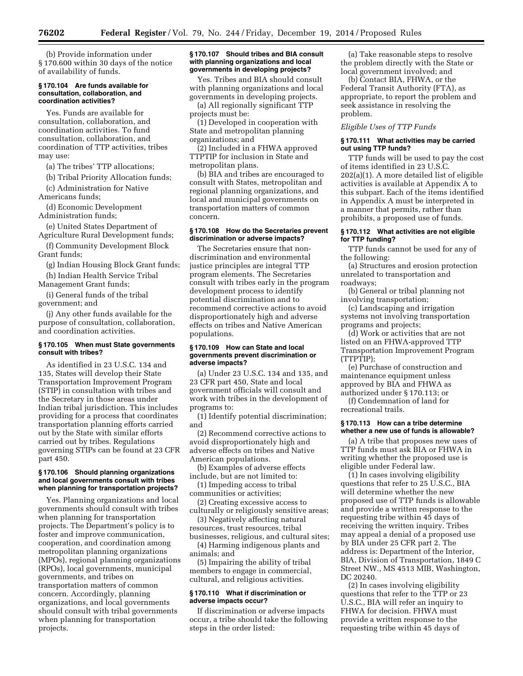(b) Provide information under § 170.600 within 30 days of the notice of availability of funds.

#### **§ 170.104 Are funds available for consultation, collaboration, and coordination activities?**

Yes. Funds are available for consultation, collaboration, and coordination activities. To fund consultation, collaboration, and coordination of TTP activities, tribes may use:

(a) The tribes' TTP allocations;

(b) Tribal Priority Allocation funds;

(c) Administration for Native Americans funds;

(d) Economic Development Administration funds;

(e) United States Department of Agriculture Rural Development funds;

(f) Community Development Block Grant funds;

(g) Indian Housing Block Grant funds;

(h) Indian Health Service Tribal Management Grant funds;

(i) General funds of the tribal government; and

(j) Any other funds available for the purpose of consultation, collaboration, and coordination activities.

# **§ 170.105 When must State governments consult with tribes?**

As identified in 23 U.S.C. 134 and 135, States will develop their State Transportation Improvement Program (STIP) in consultation with tribes and the Secretary in those areas under Indian tribal jurisdiction. This includes providing for a process that coordinates transportation planning efforts carried out by the State with similar efforts carried out by tribes. Regulations governing STIPs can be found at 23 CFR part 450.

#### **§ 170.106 Should planning organizations and local governments consult with tribes when planning for transportation projects?**

Yes. Planning organizations and local governments should consult with tribes when planning for transportation projects. The Department's policy is to foster and improve communication, cooperation, and coordination among metropolitan planning organizations (MPOs), regional planning organizations (RPOs), local governments, municipal governments, and tribes on transportation matters of common concern. Accordingly, planning organizations, and local governments should consult with tribal governments when planning for transportation projects.

#### **§ 170.107 Should tribes and BIA consult with planning organizations and local governments in developing projects?**

Yes. Tribes and BIA should consult with planning organizations and local governments in developing projects.

(a) All regionally significant TTP projects must be:

(1) Developed in cooperation with State and metropolitan planning organizations; and

(2) Included in a FHWA approved TTPTIP for inclusion in State and metropolitan plans.

(b) BIA and tribes are encouraged to consult with States, metropolitan and regional planning organizations, and local and municipal governments on transportation matters of common concern.

#### **§ 170.108 How do the Secretaries prevent discrimination or adverse impacts?**

The Secretaries ensure that nondiscrimination and environmental justice principles are integral TTP program elements. The Secretaries consult with tribes early in the program development process to identify potential discrimination and to recommend corrective actions to avoid disproportionately high and adverse effects on tribes and Native American populations.

#### **§ 170.109 How can State and local governments prevent discrimination or adverse impacts?**

(a) Under 23 U.S.C. 134 and 135, and 23 CFR part 450, State and local government officials will consult and work with tribes in the development of programs to:

(1) Identify potential discrimination; and

(2) Recommend corrective actions to avoid disproportionately high and adverse effects on tribes and Native American populations.

(b) Examples of adverse effects include, but are not limited to:

(1) Impeding access to tribal communities or activities;

(2) Creating excessive access to culturally or religiously sensitive areas;

(3) Negatively affecting natural resources, trust resources, tribal

businesses, religious, and cultural sites; (4) Harming indigenous plants and animals; and

(5) Impairing the ability of tribal members to engage in commercial, cultural, and religious activities.

#### **§ 170.110 What if discrimination or adverse impacts occur?**

If discrimination or adverse impacts occur, a tribe should take the following steps in the order listed:

(a) Take reasonable steps to resolve the problem directly with the State or local government involved; and

(b) Contact BIA, FHWA, or the Federal Transit Authority (FTA), as appropriate, to report the problem and seek assistance in resolving the problem.

*Eligible Uses of TTP Funds* 

# **§ 170.111 What activities may be carried out using TTP funds?**

TTP funds will be used to pay the cost of items identified in 23 U.S.C. 202(a)(1). A more detailed list of eligible activities is available at Appendix A to this subpart. Each of the items identified in Appendix A must be interpreted in a manner that permits, rather than prohibits, a proposed use of funds.

# **§ 170.112 What activities are not eligible for TTP funding?**

TTP funds cannot be used for any of the following:

(a) Structures and erosion protection unrelated to transportation and roadways;

(b) General or tribal planning not involving transportation;

(c) Landscaping and irrigation systems not involving transportation programs and projects;

(d) Work or activities that are not listed on an FHWA-approved TTP Transportation Improvement Program (TTPTIP);

(e) Purchase of construction and maintenance equipment unless approved by BIA and FHWA as authorized under § 170.113; or

(f) Condemnation of land for recreational trails.

# **§ 170.113 How can a tribe determine whether a new use of funds is allowable?**

(a) A tribe that proposes new uses of TTP funds must ask BIA or FHWA in writing whether the proposed use is eligible under Federal law.

(1) In cases involving eligibility questions that refer to 25 U.S.C., BIA will determine whether the new proposed use of TTP funds is allowable and provide a written response to the requesting tribe within 45 days of receiving the written inquiry. Tribes may appeal a denial of a proposed use by BIA under 25 CFR part 2. The address is: Department of the Interior, BIA, Division of Transportation, 1849 C Street NW., MS 4513 MIB, Washington, DC 20240.

(2) In cases involving eligibility questions that refer to the TTP or 23 U.S.C., BIA will refer an inquiry to FHWA for decision. FHWA must provide a written response to the requesting tribe within 45 days of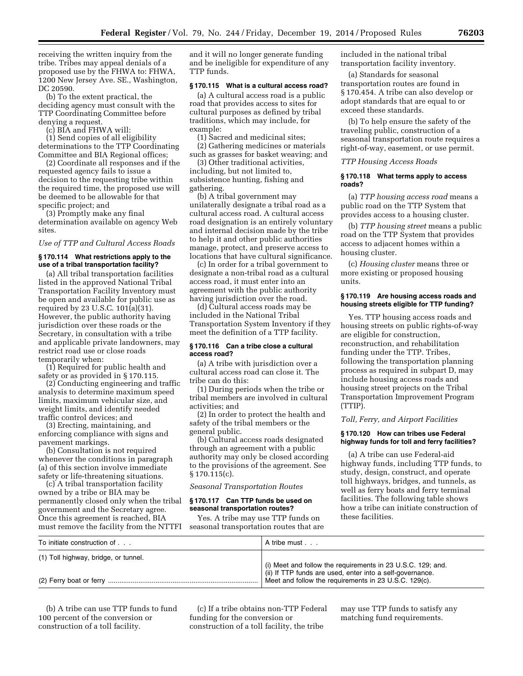receiving the written inquiry from the tribe. Tribes may appeal denials of a proposed use by the FHWA to: FHWA, 1200 New Jersey Ave. SE., Washington, DC 20590.

(b) To the extent practical, the deciding agency must consult with the TTP Coordinating Committee before denying a request.

(c) BIA and FHWA will:

(1) Send copies of all eligibility determinations to the TTP Coordinating Committee and BIA Regional offices;

(2) Coordinate all responses and if the requested agency fails to issue a decision to the requesting tribe within the required time, the proposed use will be deemed to be allowable for that specific project; and

(3) Promptly make any final determination available on agency Web sites.

#### *Use of TTP and Cultural Access Roads*

# **§ 170.114 What restrictions apply to the use of a tribal transportation facility?**

(a) All tribal transportation facilities listed in the approved National Tribal Transportation Facility Inventory must be open and available for public use as required by 23 U.S.C. 101(a)(31). However, the public authority having jurisdiction over these roads or the Secretary, in consultation with a tribe and applicable private landowners, may restrict road use or close roads temporarily when:

(1) Required for public health and safety or as provided in § 170.115.

(2) Conducting engineering and traffic analysis to determine maximum speed limits, maximum vehicular size, and weight limits, and identify needed traffic control devices; and

(3) Erecting, maintaining, and enforcing compliance with signs and pavement markings.

(b) Consultation is not required whenever the conditions in paragraph (a) of this section involve immediate safety or life-threatening situations.

(c) A tribal transportation facility owned by a tribe or BIA may be permanently closed only when the tribal government and the Secretary agree. Once this agreement is reached, BIA must remove the facility from the NTTFI and it will no longer generate funding and be ineligible for expenditure of any TTP funds.

# **§ 170.115 What is a cultural access road?**

(a) A cultural access road is a public road that provides access to sites for cultural purposes as defined by tribal traditions, which may include, for example:

(1) Sacred and medicinal sites;

(2) Gathering medicines or materials such as grasses for basket weaving; and

(3) Other traditional activities, including, but not limited to, subsistence hunting, fishing and gathering.

(b) A tribal government may unilaterally designate a tribal road as a cultural access road. A cultural access road designation is an entirely voluntary and internal decision made by the tribe to help it and other public authorities manage, protect, and preserve access to locations that have cultural significance.

(c) In order for a tribal government to designate a non-tribal road as a cultural access road, it must enter into an agreement with the public authority having jurisdiction over the road.

(d) Cultural access roads may be included in the National Tribal Transportation System Inventory if they meet the definition of a TTP facility.

# **§ 170.116 Can a tribe close a cultural access road?**

(a) A tribe with jurisdiction over a cultural access road can close it. The tribe can do this:

(1) During periods when the tribe or tribal members are involved in cultural activities; and

(2) In order to protect the health and safety of the tribal members or the general public.

(b) Cultural access roads designated through an agreement with a public authority may only be closed according to the provisions of the agreement. See § 170.115(c).

*Seasonal Transportation Routes* 

# **§ 170.117 Can TTP funds be used on seasonal transportation routes?**

Yes. A tribe may use TTP funds on seasonal transportation routes that are included in the national tribal transportation facility inventory.

(a) Standards for seasonal transportation routes are found in § 170.454. A tribe can also develop or adopt standards that are equal to or exceed these standards.

(b) To help ensure the safety of the traveling public, construction of a seasonal transportation route requires a right-of-way, easement, or use permit.

#### *TTP Housing Access Roads*

#### **§ 170.118 What terms apply to access roads?**

(a) *TTP housing access road* means a public road on the TTP System that provides access to a housing cluster.

(b) *TTP housing street* means a public road on the TTP System that provides access to adjacent homes within a housing cluster.

(c) *Housing cluster* means three or more existing or proposed housing units.

# **§ 170.119 Are housing access roads and housing streets eligible for TTP funding?**

Yes. TTP housing access roads and housing streets on public rights-of-way are eligible for construction, reconstruction, and rehabilitation funding under the TTP. Tribes, following the transportation planning process as required in subpart D, may include housing access roads and housing street projects on the Tribal Transportation Improvement Program (TTIP).

# *Toll, Ferry, and Airport Facilities*

# **§ 170.120 How can tribes use Federal highway funds for toll and ferry facilities?**

(a) A tribe can use Federal-aid highway funds, including TTP funds, to study, design, construct, and operate toll highways, bridges, and tunnels, as well as ferry boats and ferry terminal facilities. The following table shows how a tribe can initiate construction of these facilities.

| To initiate construction of          | A tribe must                                                                                                             |
|--------------------------------------|--------------------------------------------------------------------------------------------------------------------------|
| (1) Toll highway, bridge, or tunnel. | (i) Meet and follow the requirements in 23 U.S.C. 129; and.<br>(ii) If TTP funds are used, enter into a self-governance. |
|                                      | Meet and follow the requirements in 23 U.S.C. 129(c).                                                                    |

(b) A tribe can use TTP funds to fund 100 percent of the conversion or construction of a toll facility.

(c) If a tribe obtains non-TTP Federal funding for the conversion or construction of a toll facility, the tribe

may use TTP funds to satisfy any matching fund requirements.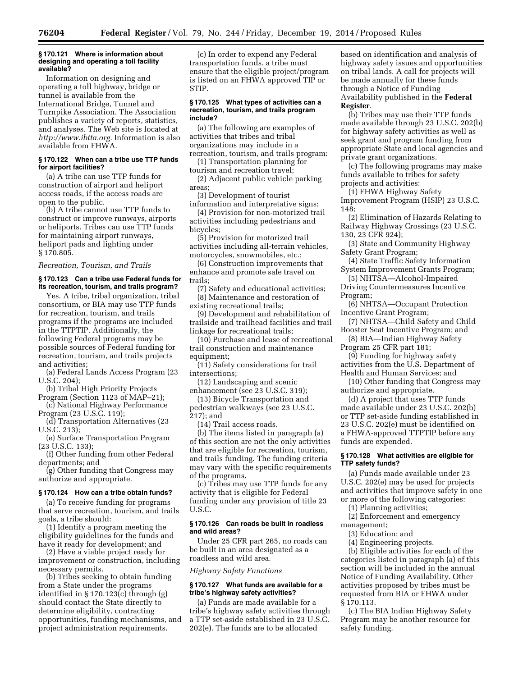#### **§ 170.121 Where is information about designing and operating a toll facility available?**

Information on designing and operating a toll highway, bridge or tunnel is available from the International Bridge, Tunnel and Turnpike Association. The Association publishes a variety of reports, statistics, and analyses. The Web site is located at *[http://www.ibtta.org.](http://www.ibtta.org)* Information is also available from FHWA.

# **§ 170.122 When can a tribe use TTP funds for airport facilities?**

(a) A tribe can use TTP funds for construction of airport and heliport access roads, if the access roads are open to the public.

(b) A tribe cannot use TTP funds to construct or improve runways, airports or heliports. Tribes can use TTP funds for maintaining airport runways, heliport pads and lighting under § 170.805.

# *Recreation, Tourism, and Trails*

# **§ 170.123 Can a tribe use Federal funds for its recreation, tourism, and trails program?**

Yes. A tribe, tribal organization, tribal consortium, or BIA may use TTP funds for recreation, tourism, and trails programs if the programs are included in the TTPTIP. Additionally, the following Federal programs may be possible sources of Federal funding for recreation, tourism, and trails projects and activities;

(a) Federal Lands Access Program (23 U.S.C. 204);

- (b) Tribal High Priority Projects Program (Section 1123 of MAP–21);
- (c) National Highway Performance Program (23 U.S.C. 119);

(d) Transportation Alternatives (23 U.S.C. 213);

(e) Surface Transportation Program (23 U.S.C. 133);

(f) Other funding from other Federal departments; and

(g) Other funding that Congress may authorize and appropriate.

# **§ 170.124 How can a tribe obtain funds?**

(a) To receive funding for programs that serve recreation, tourism, and trails goals, a tribe should:

(1) Identify a program meeting the eligibility guidelines for the funds and have it ready for development; and

(2) Have a viable project ready for improvement or construction, including necessary permits.

(b) Tribes seeking to obtain funding from a State under the programs identified in § 170.123(c) through (g) should contact the State directly to determine eligibility, contracting opportunities, funding mechanisms, and project administration requirements.

(c) In order to expend any Federal transportation funds, a tribe must ensure that the eligible project/program is listed on an FHWA approved TIP or STIP.

#### **§ 170.125 What types of activities can a recreation, tourism, and trails program include?**

(a) The following are examples of activities that tribes and tribal organizations may include in a recreation, tourism, and trails program:

(1) Transportation planning for tourism and recreation travel;

(2) Adjacent public vehicle parking areas;

(3) Development of tourist information and interpretative signs;

(4) Provision for non-motorized trail activities including pedestrians and bicycles;

(5) Provision for motorized trail activities including all-terrain vehicles, motorcycles, snowmobiles, etc.;

(6) Construction improvements that enhance and promote safe travel on trails;

(7) Safety and educational activities; (8) Maintenance and restoration of

existing recreational trails; (9) Development and rehabilitation of trailside and trailhead facilities and trail linkage for recreational trails;

(10) Purchase and lease of recreational trail construction and maintenance equipment;

(11) Safety considerations for trail intersections;

(12) Landscaping and scenic enhancement (see 23 U.S.C. 319);

(13) Bicycle Transportation and pedestrian walkways (see 23 U.S.C. 217); and

(14) Trail access roads.

(b) The items listed in paragraph (a) of this section are not the only activities that are eligible for recreation, tourism, and trails funding. The funding criteria may vary with the specific requirements of the programs.

(c) Tribes may use TTP funds for any activity that is eligible for Federal funding under any provision of title 23 U.S.C.

# **§ 170.126 Can roads be built in roadless and wild areas?**

Under 25 CFR part 265, no roads can be built in an area designated as a roadless and wild area.

*Highway Safety Functions* 

# **§ 170.127 What funds are available for a tribe's highway safety activities?**

(a) Funds are made available for a tribe's highway safety activities through a TTP set-aside established in 23 U.S.C. 202(e). The funds are to be allocated

based on identification and analysis of highway safety issues and opportunities on tribal lands. A call for projects will be made annually for these funds through a Notice of Funding Availability published in the **Federal Register**.

(b) Tribes may use their TTP funds made available through 23 U.S.C. 202(b) for highway safety activities as well as seek grant and program funding from appropriate State and local agencies and private grant organizations.

(c) The following programs may make funds available to tribes for safety projects and activities:

(1) FHWA Highway Safety Improvement Program (HSIP) 23 U.S.C. 148;

(2) Elimination of Hazards Relating to Railway Highway Crossings (23 U.S.C. 130, 23 CFR 924);

(3) State and Community Highway Safety Grant Program;

(4) State Traffic Safety Information System Improvement Grants Program;

(5) NHTSA—Alcohol-Impaired Driving Countermeasures Incentive Program;

(6) NHTSA—Occupant Protection Incentive Grant Program;

(7) NHTSA—Child Safety and Child Booster Seat Incentive Program; and

(8) BIA—Indian Highway Safety Program 25 CFR part 181;

(9) Funding for highway safety activities from the U.S. Department of Health and Human Services; and

(10) Other funding that Congress may authorize and appropriate.

(d) A project that uses TTP funds made available under 23 U.S.C. 202(b) or TTP set-aside funding established in 23 U.S.C. 202(e) must be identified on a FHWA-approved TTPTIP before any funds are expended.

# **§ 170.128 What activities are eligible for TTP safety funds?**

(a) Funds made available under 23 U.S.C. 202(e) may be used for projects and activities that improve safety in one or more of the following categories:

(1) Planning activities;

(2) Enforcement and emergency management;

(3) Education; and

(4) Engineering projects.

(b) Eligible activities for each of the categories listed in paragraph (a) of this section will be included in the annual Notice of Funding Availability. Other activities proposed by tribes must be requested from BIA or FHWA under § 170.113.

(c) The BIA Indian Highway Safety Program may be another resource for safety funding.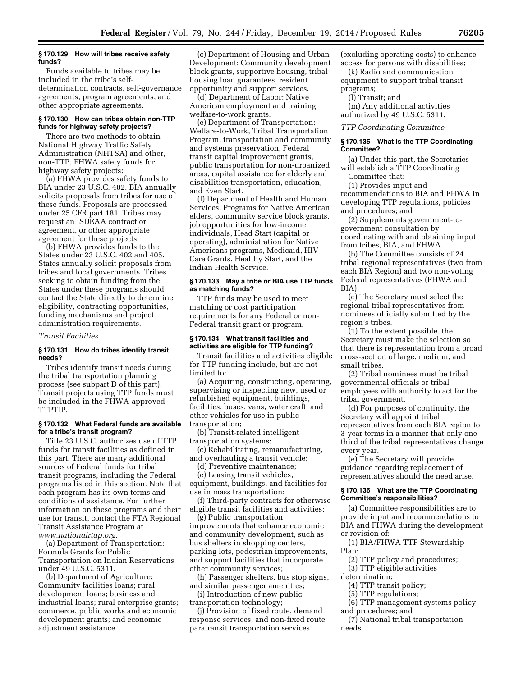#### **§ 170.129 How will tribes receive safety funds?**

Funds available to tribes may be included in the tribe's selfdetermination contracts, self-governance agreements, program agreements, and other appropriate agreements.

# **§ 170.130 How can tribes obtain non-TTP funds for highway safety projects?**

There are two methods to obtain National Highway Traffic Safety Administration (NHTSA) and other, non-TTP, FHWA safety funds for highway safety projects:

(a) FHWA provides safety funds to BIA under 23 U.S.C. 402. BIA annually solicits proposals from tribes for use of these funds. Proposals are processed under 25 CFR part 181. Tribes may request an ISDEAA contract or agreement, or other appropriate agreement for these projects.

(b) FHWA provides funds to the States under 23 U.S.C. 402 and 405. States annually solicit proposals from tribes and local governments. Tribes seeking to obtain funding from the States under these programs should contact the State directly to determine eligibility, contracting opportunities, funding mechanisms and project administration requirements.

#### *Transit Facilities*

#### **§ 170.131 How do tribes identify transit needs?**

Tribes identify transit needs during the tribal transportation planning process (see subpart D of this part). Transit projects using TTP funds must be included in the FHWA-approved TTPTIP.

#### **§ 170.132 What Federal funds are available for a tribe's transit program?**

Title 23 U.S.C. authorizes use of TTP funds for transit facilities as defined in this part. There are many additional sources of Federal funds for tribal transit programs, including the Federal programs listed in this section. Note that each program has its own terms and conditions of assistance. For further information on these programs and their use for transit, contact the FTA Regional Transit Assistance Program at *[www.nationalrtap.org.](http://www.nationalrtap.org)* 

(a) Department of Transportation: Formula Grants for Public Transportation on Indian Reservations under 49 U.S.C. 5311.

(b) Department of Agriculture: Community facilities loans; rural development loans; business and industrial loans; rural enterprise grants; commerce, public works and economic development grants; and economic adjustment assistance.

(c) Department of Housing and Urban Development: Community development block grants, supportive housing, tribal housing loan guarantees, resident opportunity and support services.

(d) Department of Labor: Native American employment and training, welfare-to-work grants.

(e) Department of Transportation: Welfare-to-Work, Tribal Transportation Program, transportation and community and systems preservation, Federal transit capital improvement grants, public transportation for non-urbanized areas, capital assistance for elderly and disabilities transportation, education, and Even Start.

(f) Department of Health and Human Services: Programs for Native American elders, community service block grants, job opportunities for low-income individuals, Head Start (capital or operating), administration for Native Americans programs, Medicaid, HIV Care Grants, Healthy Start, and the Indian Health Service.

#### **§ 170.133 May a tribe or BIA use TTP funds as matching funds?**

TTP funds may be used to meet matching or cost participation requirements for any Federal or non-Federal transit grant or program.

# **§ 170.134 What transit facilities and activities are eligible for TTP funding?**

Transit facilities and activities eligible for TTP funding include, but are not limited to:

(a) Acquiring, constructing, operating, supervising or inspecting new, used or refurbished equipment, buildings, facilities, buses, vans, water craft, and other vehicles for use in public transportation;

(b) Transit-related intelligent transportation systems;

(c) Rehabilitating, remanufacturing, and overhauling a transit vehicle;

(d) Preventive maintenance;

(e) Leasing transit vehicles, equipment, buildings, and facilities for use in mass transportation;

(f) Third-party contracts for otherwise eligible transit facilities and activities;

(g) Public transportation improvements that enhance economic and community development, such as bus shelters in shopping centers, parking lots, pedestrian improvements, and support facilities that incorporate other community services;

(h) Passenger shelters, bus stop signs, and similar passenger amenities;

(i) Introduction of new public transportation technology;

(j) Provision of fixed route, demand response services, and non-fixed route paratransit transportation services

(excluding operating costs) to enhance access for persons with disabilities;

(k) Radio and communication equipment to support tribal transit programs;

(l) Transit; and

(m) Any additional activities authorized by 49 U.S.C. 5311.

*TTP Coordinating Committee* 

# **§ 170.135 What is the TTP Coordinating Committee?**

(a) Under this part, the Secretaries will establish a TTP Coordinating Committee that:

(1) Provides input and

recommendations to BIA and FHWA in developing TTP regulations, policies and procedures; and

(2) Supplements government-togovernment consultation by coordinating with and obtaining input from tribes, BIA, and FHWA.

(b) The Committee consists of 24 tribal regional representatives (two from each BIA Region) and two non-voting Federal representatives (FHWA and BIA).

(c) The Secretary must select the regional tribal representatives from nominees officially submitted by the region's tribes.

(1) To the extent possible, the Secretary must make the selection so that there is representation from a broad cross-section of large, medium, and small tribes.

(2) Tribal nominees must be tribal governmental officials or tribal employees with authority to act for the tribal government.

(d) For purposes of continuity, the Secretary will appoint tribal representatives from each BIA region to 3-year terms in a manner that only onethird of the tribal representatives change every year.

(e) The Secretary will provide guidance regarding replacement of representatives should the need arise.

#### **§ 170.136 What are the TTP Coordinating Committee's responsibilities?**

(a) Committee responsibilities are to provide input and recommendations to BIA and FHWA during the development or revision of:

(1) BIA/FHWA TTP Stewardship Plan;

(2) TTP policy and procedures;

(3) TTP eligible activities determination;

(4) TTP transit policy;

(5) TTP regulations;

(6) TTP management systems policy

and procedures; and

(7) National tribal transportation needs.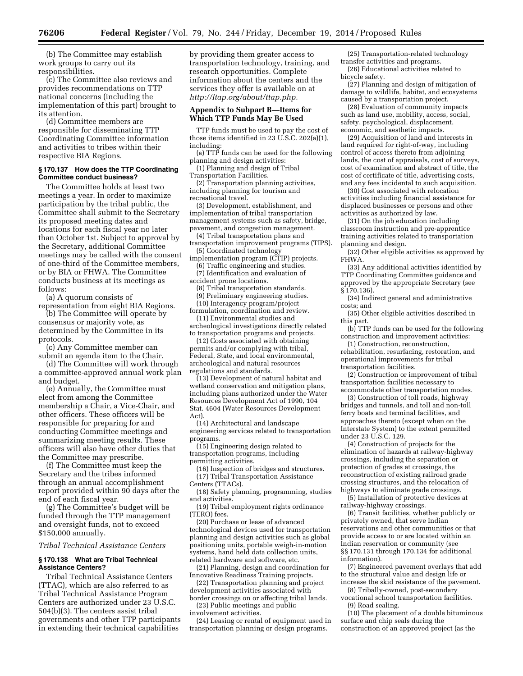(b) The Committee may establish work groups to carry out its responsibilities.

(c) The Committee also reviews and provides recommendations on TTP national concerns (including the implementation of this part) brought to its attention.

(d) Committee members are responsible for disseminating TTP Coordinating Committee information and activities to tribes within their respective BIA Regions.

# **§ 170.137 How does the TTP Coordinating Committee conduct business?**

The Committee holds at least two meetings a year. In order to maximize participation by the tribal public, the Committee shall submit to the Secretary its proposed meeting dates and locations for each fiscal year no later than October 1st. Subject to approval by the Secretary, additional Committee meetings may be called with the consent of one-third of the Committee members, or by BIA or FHWA. The Committee conducts business at its meetings as follows:

(a) A quorum consists of

representation from eight BIA Regions. (b) The Committee will operate by consensus or majority vote, as determined by the Committee in its

protocols. (c) Any Committee member can

submit an agenda item to the Chair.

(d) The Committee will work through a committee-approved annual work plan and budget.

(e) Annually, the Committee must elect from among the Committee membership a Chair, a Vice-Chair, and other officers. These officers will be responsible for preparing for and conducting Committee meetings and summarizing meeting results. These officers will also have other duties that the Committee may prescribe.

(f) The Committee must keep the Secretary and the tribes informed through an annual accomplishment report provided within 90 days after the end of each fiscal year.

(g) The Committee's budget will be funded through the TTP management and oversight funds, not to exceed \$150,000 annually.

# *Tribal Technical Assistance Centers*

#### **§ 170.138 What are Tribal Technical Assistance Centers?**

Tribal Technical Assistance Centers (TTAC), which are also referred to as Tribal Technical Assistance Program Centers are authorized under 23 U.S.C. 504(b)(3). The centers assist tribal governments and other TTP participants in extending their technical capabilities

by providing them greater access to transportation technology, training, and research opportunities. Complete information about the centers and the services they offer is available on at *[http://ltap.org/about/ttap.php.](http://ltap.org/about/ttap.php)* 

# **Appendix to Subpart B—Items for Which TTP Funds May Be Used**

TTP funds must be used to pay the cost of those items identified in 23 U.S.C. 202(a)(1), including:

(a) TTP funds can be used for the following planning and design activities:

(1) Planning and design of Tribal Transportation Facilities.

(2) Transportation planning activities, including planning for tourism and recreational travel.

(3) Development, establishment, and implementation of tribal transportation management systems such as safety, bridge, pavement, and congestion management.

(4) Tribal transportation plans and transportation improvement programs (TIPS).

(5) Coordinated technology

implementation program (CTIP) projects. (6) Traffic engineering and studies. (7) Identification and evaluation of

accident prone locations.

(8) Tribal transportation standards.

(9) Preliminary engineering studies. (10) Interagency program/project

formulation, coordination and review. (11) Environmental studies and

archeological investigations directly related to transportation programs and projects.

(12) Costs associated with obtaining permits and/or complying with tribal, Federal, State, and local environmental, archeological and natural resources regulations and standards.

(13) Development of natural habitat and wetland conservation and mitigation plans, including plans authorized under the Water Resources Development Act of 1990, 104 Stat. 4604 (Water Resources Development Act).

(14) Architectural and landscape engineering services related to transportation programs.

(15) Engineering design related to transportation programs, including permitting activities.

(16) Inspection of bridges and structures. (17) Tribal Transportation Assistance Centers (TTACs).

(18) Safety planning, programming, studies and activities.

(19) Tribal employment rights ordinance (TERO) fees.

(20) Purchase or lease of advanced technological devices used for transportation planning and design activities such as global positioning units, portable weigh-in-motion systems, hand held data collection units, related hardware and software, etc.

(21) Planning, design and coordination for Innovative Readiness Training projects.

(22) Transportation planning and project development activities associated with

border crossings on or affecting tribal lands. (23) Public meetings and public

involvement activities.

(24) Leasing or rental of equipment used in transportation planning or design programs.

(25) Transportation-related technology transfer activities and programs.

(26) Educational activities related to bicycle safety.

(27) Planning and design of mitigation of damage to wildlife, habitat, and ecosystems caused by a transportation project.

(28) Evaluation of community impacts such as land use, mobility, access, social, safety, psychological, displacement, economic, and aesthetic impacts.

(29) Acquisition of land and interests in land required for right-of-way, including control of access thereto from adjoining lands, the cost of appraisals, cost of surveys, cost of examination and abstract of title, the cost of certificate of title, advertising costs, and any fees incidental to such acquisition.

(30) Cost associated with relocation activities including financial assistance for displaced businesses or persons and other activities as authorized by law.

(31) On the job education including classroom instruction and pre-apprentice training activities related to transportation planning and design.

(32) Other eligible activities as approved by FHWA.

(33) Any additional activities identified by TTP Coordinating Committee guidance and approved by the appropriate Secretary (see § 170.136).

(34) Indirect general and administrative costs; and

(35) Other eligible activities described in this part.

(b) TTP funds can be used for the following construction and improvement activities:

(1) Construction, reconstruction, rehabilitation, resurfacing, restoration, and operational improvements for tribal transportation facilities.

(2) Construction or improvement of tribal transportation facilities necessary to accommodate other transportation modes.

(3) Construction of toll roads, highway bridges and tunnels, and toll and non-toll ferry boats and terminal facilities, and approaches thereto (except when on the Interstate System) to the extent permitted under 23 U.S.C. 129.

(4) Construction of projects for the elimination of hazards at railway-highway crossings, including the separation or protection of grades at crossings, the reconstruction of existing railroad grade crossing structures, and the relocation of highways to eliminate grade crossings.

(5) Installation of protective devices at railway-highway crossings.

(6) Transit facilities, whether publicly or privately owned, that serve Indian reservations and other communities or that provide access to or are located within an Indian reservation or community (see §§ 170.131 through 170.134 for additional information).

(7) Engineered pavement overlays that add to the structural value and design life or increase the skid resistance of the pavement.

(8) Tribally-owned, post-secondary vocational school transportation facilities.

(9) Road sealing.

(10) The placement of a double bituminous surface and chip seals during the construction of an approved project (as the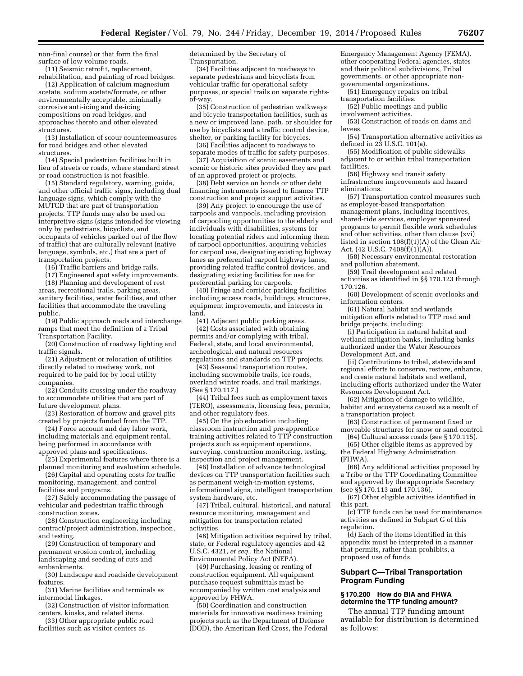non-final course) or that form the final surface of low volume roads. (11) Seismic retrofit, replacement,

rehabilitation, and painting of road bridges. (12) Application of calcium magnesium acetate, sodium acetate/formate, or other environmentally acceptable, minimally corrosive anti-icing and de-icing compositions on road bridges, and approaches thereto and other elevated structures.

(13) Installation of scour countermeasures for road bridges and other elevated structures.

(14) Special pedestrian facilities built in lieu of streets or roads, where standard street or road construction is not feasible.

(15) Standard regulatory, warning, guide, and other official traffic signs, including dual language signs, which comply with the MUTCD that are part of transportation projects. TTP funds may also be used on interpretive signs (signs intended for viewing only by pedestrians, bicyclists, and occupants of vehicles parked out of the flow of traffic) that are culturally relevant (native language, symbols, etc.) that are a part of transportation projects.

(16) Traffic barriers and bridge rails.

(17) Engineered spot safety improvements.

(18) Planning and development of rest areas, recreational trails, parking areas, sanitary facilities, water facilities, and other facilities that accommodate the traveling public.

(19) Public approach roads and interchange ramps that meet the definition of a Tribal Transportation Facility.

(20) Construction of roadway lighting and traffic signals.

(21) Adjustment or relocation of utilities directly related to roadway work, not required to be paid for by local utility companies.

(22) Conduits crossing under the roadway to accommodate utilities that are part of future development plans.

(23) Restoration of borrow and gravel pits created by projects funded from the TTP.

(24) Force account and day labor work, including materials and equipment rental, being performed in accordance with approved plans and specifications.

(25) Experimental features where there is a planned monitoring and evaluation schedule.

(26) Capital and operating costs for traffic monitoring, management, and control facilities and programs.

(27) Safely accommodating the passage of vehicular and pedestrian traffic through construction zones.

(28) Construction engineering including contract/project administration, inspection, and testing.

(29) Construction of temporary and permanent erosion control, including landscaping and seeding of cuts and embankments.

(30) Landscape and roadside development features.

(31) Marine facilities and terminals as intermodal linkages.

(32) Construction of visitor information centers, kiosks, and related items.

(33) Other appropriate public road facilities such as visitor centers as

determined by the Secretary of Transportation.

(34) Facilities adjacent to roadways to separate pedestrians and bicyclists from vehicular traffic for operational safety purposes, or special trails on separate rightsof-way.

(35) Construction of pedestrian walkways and bicycle transportation facilities, such as a new or improved lane, path, or shoulder for use by bicyclists and a traffic control device, shelter, or parking facility for bicycles.

(36) Facilities adjacent to roadways to separate modes of traffic for safety purposes.

(37) Acquisition of scenic easements and scenic or historic sites provided they are part of an approved project or projects.

(38) Debt service on bonds or other debt financing instruments issued to finance TTP construction and project support activities.

(39) Any project to encourage the use of carpools and vanpools, including provision of carpooling opportunities to the elderly and individuals with disabilities, systems for locating potential riders and informing them of carpool opportunities, acquiring vehicles for carpool use, designating existing highway lanes as preferential carpool highway lanes, providing related traffic control devices, and designating existing facilities for use for preferential parking for carpools.

(40) Fringe and corridor parking facilities including access roads, buildings, structures, equipment improvements, and interests in land.

(41) Adjacent public parking areas.

(42) Costs associated with obtaining permits and/or complying with tribal, Federal, state, and local environmental, archeological, and natural resources regulations and standards on TTP projects.

(43) Seasonal transportation routes, including snowmobile trails, ice roads, overland winter roads, and trail markings. (See § 170.117.)

(44) Tribal fees such as employment taxes (TERO), assessments, licensing fees, permits, and other regulatory fees.

(45) On the job education including classroom instruction and pre-apprentice training activities related to TTP construction projects such as equipment operations, surveying, construction monitoring, testing, inspection and project management.

(46) Installation of advance technological devices on TTP transportation facilities such as permanent weigh-in-motion systems, informational signs, intelligent transportation system hardware, etc.

(47) Tribal, cultural, historical, and natural resource monitoring, management and mitigation for transportation related activities.

(48) Mitigation activities required by tribal, state, or Federal regulatory agencies and 42 U.S.C. 4321, *et seq.,* the National Environmental Policy Act (NEPA).

(49) Purchasing, leasing or renting of construction equipment. All equipment purchase request submittals must be accompanied by written cost analysis and approved by FHWA.

(50) Coordination and construction materials for innovative readiness training projects such as the Department of Defense (DOD), the American Red Cross, the Federal

Emergency Management Agency (FEMA), other cooperating Federal agencies, states and their political subdivisions, Tribal governments, or other appropriate nongovernmental organizations.

(51) Emergency repairs on tribal transportation facilities.

(52) Public meetings and public involvement activities.

(53) Construction of roads on dams and levees.

(54) Transportation alternative activities as defined in 23 U.S.C. 101(a).

(55) Modification of public sidewalks adjacent to or within tribal transportation facilities.

(56) Highway and transit safety infrastructure improvements and hazard eliminations.

(57) Transportation control measures such as employer-based transportation management plans, including incentives, shared-ride services, employer sponsored programs to permit flexible work schedules and other activities, other than clause (xvi) listed in section 108(f)(1)(A) of the Clean Air Act, (42 U.S.C. 7408(f)(1)(A)).

(58) Necessary environmental restoration and pollution abatement.

(59) Trail development and related activities as identified in §§ 170.123 through 170.126.

(60) Development of scenic overlooks and information centers.

(61) Natural habitat and wetlands mitigation efforts related to TTP road and bridge projects, including:

(i) Participation in natural habitat and wetland mitigation banks, including banks authorized under the Water Resources Development Act, and

(ii) Contributions to tribal, statewide and regional efforts to conserve, restore, enhance, and create natural habitats and wetland, including efforts authorized under the Water Resources Development Act.

(62) Mitigation of damage to wildlife, habitat and ecosystems caused as a result of a transportation project.

(63) Construction of permanent fixed or moveable structures for snow or sand control.

(64) Cultural access roads (see § 170.115).

(65) Other eligible items as approved by the Federal Highway Administration (FHWA).

(66) Any additional activities proposed by a Tribe or the TTP Coordinating Committee and approved by the appropriate Secretary (see §§ 170.113 and 170.136).

(67) Other eligible activities identified in this part.

(c) TTP funds can be used for maintenance activities as defined in Subpart G of this regulation.

(d) Each of the items identified in this appendix must be interpreted in a manner that permits, rather than prohibits, a proposed use of funds.

# **Subpart C—Tribal Transportation Program Funding**

# **§ 170.200 How do BIA and FHWA determine the TTP funding amount?**

The annual TTP funding amount available for distribution is determined as follows: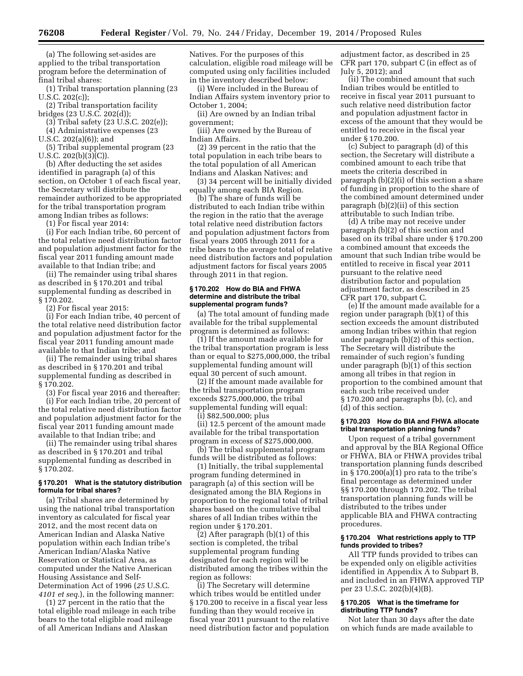(a) The following set-asides are applied to the tribal transportation program before the determination of final tribal shares:

(1) Tribal transportation planning (23 U.S.C. 202(c));

(2) Tribal transportation facility bridges (23 U.S.C. 202(d));

(3) Tribal safety (23 U.S.C. 202(e)); (4) Administrative expenses (23

U.S.C. 202(a)(6)); and

(5) Tribal supplemental program (23 U.S.C. 202(b)(3)(C)).

(b) After deducting the set asides identified in paragraph (a) of this section, on October 1 of each fiscal year, the Secretary will distribute the remainder authorized to be appropriated for the tribal transportation program among Indian tribes as follows:

(1) For fiscal year 2014:

(i) For each Indian tribe, 60 percent of the total relative need distribution factor and population adjustment factor for the fiscal year 2011 funding amount made available to that Indian tribe; and

(ii) The remainder using tribal shares as described in § 170.201 and tribal supplemental funding as described in § 170.202.

(2) For fiscal year 2015:

(i) For each Indian tribe, 40 percent of the total relative need distribution factor and population adjustment factor for the fiscal year 2011 funding amount made available to that Indian tribe; and

(ii) The remainder using tribal shares as described in § 170.201 and tribal supplemental funding as described in § 170.202.

(3) For fiscal year 2016 and thereafter: (i) For each Indian tribe, 20 percent of the total relative need distribution factor

and population adjustment factor for the fiscal year 2011 funding amount made available to that Indian tribe; and (ii) The remainder using tribal shares

as described in § 170.201 and tribal supplemental funding as described in § 170.202.

# **§ 170.201 What is the statutory distribution formula for tribal shares?**

(a) Tribal shares are determined by using the national tribal transportation inventory as calculated for fiscal year 2012, and the most recent data on American Indian and Alaska Native population within each Indian tribe's American Indian/Alaska Native Reservation or Statistical Area, as computed under the Native American Housing Assistance and Self-Determination Act of 1996 (*25* U.S.C. *4101 et seq.*), in the following manner:

(1) 27 percent in the ratio that the total eligible road mileage in each tribe bears to the total eligible road mileage of all American Indians and Alaskan

Natives. For the purposes of this calculation, eligible road mileage will be computed using only facilities included in the inventory described below:

(i) Were included in the Bureau of Indian Affairs system inventory prior to October 1, 2004;

(ii) Are owned by an Indian tribal government;

(iii) Are owned by the Bureau of Indian Affairs.

(2) 39 percent in the ratio that the total population in each tribe bears to the total population of all American Indians and Alaskan Natives; and

(3) 34 percent will be initially divided equally among each BIA Region.

(b) The share of funds will be distributed to each Indian tribe within the region in the ratio that the average total relative need distribution factors and population adjustment factors from fiscal years 2005 through 2011 for a tribe bears to the average total of relative need distribution factors and population adjustment factors for fiscal years 2005 through 2011 in that region.

#### **§ 170.202 How do BIA and FHWA determine and distribute the tribal supplemental program funds?**

(a) The total amount of funding made available for the tribal supplemental program is determined as follows:

(1) If the amount made available for the tribal transportation program is less than or equal to \$275,000,000, the tribal supplemental funding amount will equal 30 percent of such amount.

(2) If the amount made available for the tribal transportation program exceeds \$275,000,000, the tribal supplemental funding will equal:

(i) \$82,500,000; plus

(ii) 12.5 percent of the amount made available for the tribal transportation program in excess of \$275,000,000.

(b) The tribal supplemental program funds will be distributed as follows:

(1) Initially, the tribal supplemental program funding determined in paragraph (a) of this section will be designated among the BIA Regions in proportion to the regional total of tribal shares based on the cumulative tribal shares of all Indian tribes within the region under § 170.201.

(2) After paragraph (b)(1) of this section is completed, the tribal supplemental program funding designated for each region will be distributed among the tribes within the region as follows:

(i) The Secretary will determine which tribes would be entitled under § 170.200 to receive in a fiscal year less funding than they would receive in fiscal year 2011 pursuant to the relative need distribution factor and population

adjustment factor, as described in 25 CFR part 170, subpart C (in effect as of July 5, 2012); and

(ii) The combined amount that such Indian tribes would be entitled to receive in fiscal year 2011 pursuant to such relative need distribution factor and population adjustment factor in excess of the amount that they would be entitled to receive in the fiscal year under § 170.200.

(c) Subject to paragraph (d) of this section, the Secretary will distribute a combined amount to each tribe that meets the criteria described in paragraph (b)(2)(i) of this section a share of funding in proportion to the share of the combined amount determined under paragraph (b)(2)(ii) of this section attributable to such Indian tribe.

(d) A tribe may not receive under paragraph (b)(2) of this section and based on its tribal share under § 170.200 a combined amount that exceeds the amount that such Indian tribe would be entitled to receive in fiscal year 2011 pursuant to the relative need distribution factor and population adjustment factor, as described in 25 CFR part 170, subpart C.

(e) If the amount made available for a region under paragraph (b)(1) of this section exceeds the amount distributed among Indian tribes within that region under paragraph (b)(2) of this section, The Secretary will distribute the remainder of such region's funding under paragraph  $(b)(1)$  of this section among all tribes in that region in proportion to the combined amount that each such tribe received under § 170.200 and paragraphs (b), (c), and (d) of this section.

# **§ 170.203 How do BIA and FHWA allocate tribal transportation planning funds?**

Upon request of a tribal government and approval by the BIA Regional Office or FHWA, BIA or FHWA provides tribal transportation planning funds described in  $\S 170.200(a)\overline{1}$  pro rata to the tribe's final percentage as determined under §§ 170.200 through 170.202. The tribal transportation planning funds will be distributed to the tribes under applicable BIA and FHWA contracting procedures.

#### **§ 170.204 What restrictions apply to TTP funds provided to tribes?**

All TTP funds provided to tribes can be expended only on eligible activities identified in Appendix A to Subpart B, and included in an FHWA approved TIP per 23 U.S.C. 202(b)(4)(B).

# **§ 170.205 What is the timeframe for distributing TTP funds?**

Not later than 30 days after the date on which funds are made available to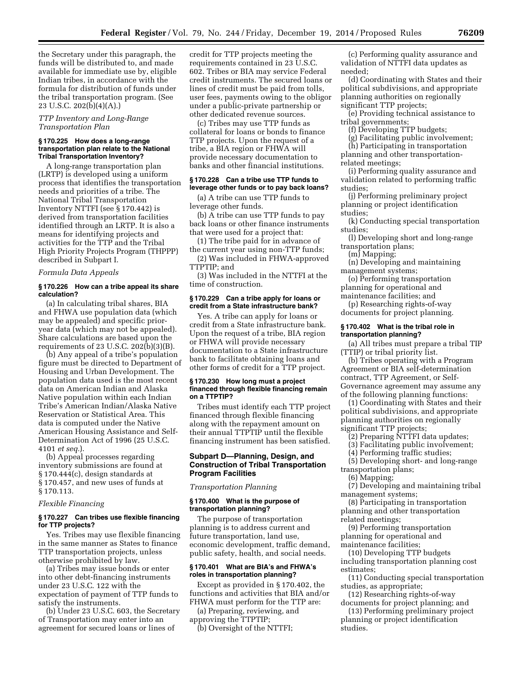the Secretary under this paragraph, the funds will be distributed to, and made available for immediate use by, eligible Indian tribes, in accordance with the formula for distribution of funds under the tribal transportation program. (See 23 U.S.C. 202(b)(4)(A).)

# *TTP Inventory and Long-Range Transportation Plan*

#### **§ 170.225 How does a long-range transportation plan relate to the National Tribal Transportation Inventory?**

A long-range transportation plan (LRTP) is developed using a uniform process that identifies the transportation needs and priorities of a tribe. The National Tribal Transportation Inventory NTTFI (see § 170.442) is derived from transportation facilities identified through an LRTP. It is also a means for identifying projects and activities for the TTP and the Tribal High Priority Projects Program (THPPP) described in Subpart I.

# *Formula Data Appeals*

#### **§ 170.226 How can a tribe appeal its share calculation?**

(a) In calculating tribal shares, BIA and FHWA use population data (which may be appealed) and specific prioryear data (which may not be appealed). Share calculations are based upon the requirements of 23 U.S.C. 202(b)(3)(B).

(b) Any appeal of a tribe's population figure must be directed to Department of Housing and Urban Development. The population data used is the most recent data on American Indian and Alaska Native population within each Indian Tribe's American Indian/Alaska Native Reservation or Statistical Area. This data is computed under the Native American Housing Assistance and Self-Determination Act of 1996 (25 U.S.C. 4101 *et seq.*).

(b) Appeal processes regarding inventory submissions are found at § 170.444(c), design standards at § 170.457, and new uses of funds at § 170.113.

#### *Flexible Financing*

# **§ 170.227 Can tribes use flexible financing for TTP projects?**

Yes. Tribes may use flexible financing in the same manner as States to finance TTP transportation projects, unless otherwise prohibited by law.

(a) Tribes may issue bonds or enter into other debt-financing instruments under 23 U.S.C. 122 with the expectation of payment of TTP funds to satisfy the instruments.

(b) Under 23 U.S.C. 603, the Secretary of Transportation may enter into an agreement for secured loans or lines of

credit for TTP projects meeting the requirements contained in 23 U.S.C. 602. Tribes or BIA may service Federal credit instruments. The secured loans or lines of credit must be paid from tolls, user fees, payments owing to the obligor under a public-private partnership or other dedicated revenue sources.

(c) Tribes may use TTP funds as collateral for loans or bonds to finance TTP projects. Upon the request of a tribe, a BIA region or FHWA will provide necessary documentation to banks and other financial institutions.

# **§ 170.228 Can a tribe use TTP funds to leverage other funds or to pay back loans?**

(a) A tribe can use TTP funds to leverage other funds.

(b) A tribe can use TTP funds to pay back loans or other finance instruments that were used for a project that:

(1) The tribe paid for in advance of the current year using non-TTP funds;

(2) Was included in FHWA-approved TTPTIP; and

(3) Was included in the NTTFI at the time of construction.

#### **§ 170.229 Can a tribe apply for loans or credit from a State infrastructure bank?**

Yes. A tribe can apply for loans or credit from a State infrastructure bank. Upon the request of a tribe, BIA region or FHWA will provide necessary documentation to a State infrastructure bank to facilitate obtaining loans and other forms of credit for a TTP project.

#### **§ 170.230 How long must a project financed through flexible financing remain on a TTPTIP?**

Tribes must identify each TTP project financed through flexible financing along with the repayment amount on their annual TTPTIP until the flexible financing instrument has been satisfied.

# **Subpart D—Planning, Design, and Construction of Tribal Transportation Program Facilities**

# *Transportation Planning*

# **§ 170.400 What is the purpose of transportation planning?**

The purpose of transportation planning is to address current and future transportation, land use, economic development, traffic demand, public safety, health, and social needs.

# **§ 170.401 What are BIA's and FHWA's roles in transportation planning?**

Except as provided in § 170.402, the functions and activities that BIA and/or FHWA must perform for the TTP are:

(a) Preparing, reviewing, and approving the TTPTIP;

(b) Oversight of the NTTFI;

(c) Performing quality assurance and validation of NTTFI data updates as needed;

(d) Coordinating with States and their political subdivisions, and appropriate planning authorities on regionally significant TTP projects;

(e) Providing technical assistance to tribal governments;

(f) Developing TTP budgets;

(g) Facilitating public involvement; (h) Participating in transportation

planning and other transportationrelated meetings;

(i) Performing quality assurance and validation related to performing traffic studies;

(j) Performing preliminary project planning or project identification studies;

(k) Conducting special transportation studies;

(l) Developing short and long-range transportation plans;

(m) Mapping;

(n) Developing and maintaining management systems;

(o) Performing transportation planning for operational and

maintenance facilities; and (p) Researching rights-of-way

documents for project planning. **§ 170.402 What is the tribal role in** 

# **transportation planning?**

(a) All tribes must prepare a tribal TIP (TTIP) or tribal priority list.

(b) Tribes operating with a Program Agreement or BIA self-determination contract, TTP Agreement, or Self-Governance agreement may assume any of the following planning functions:

(1) Coordinating with States and their political subdivisions, and appropriate planning authorities on regionally significant TTP projects;

(2) Preparing NTTFI data updates;

(3) Facilitating public involvement;

(4) Performing traffic studies;

(5) Developing short- and long-range transportation plans;

(6) Mapping;

(7) Developing and maintaining tribal management systems;

(8) Participating in transportation planning and other transportation related meetings;

(9) Performing transportation planning for operational and maintenance facilities;

(10) Developing TTP budgets including transportation planning cost estimates;

(11) Conducting special transportation studies, as appropriate;

(12) Researching rights-of-way documents for project planning; and

(13) Performing preliminary project planning or project identification studies.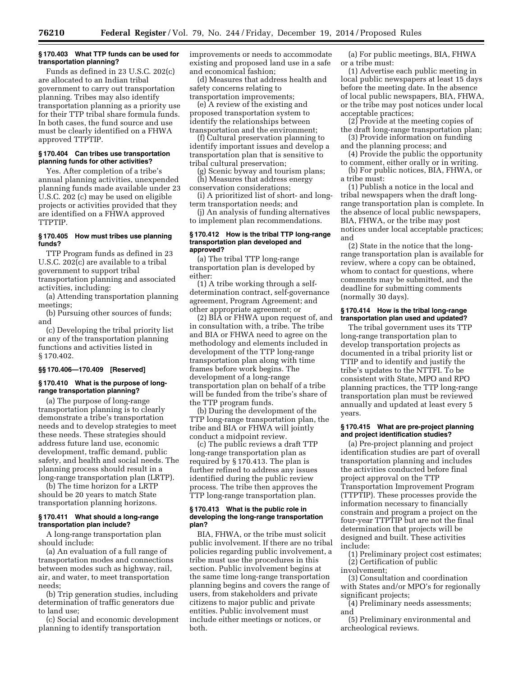#### **§ 170.403 What TTP funds can be used for transportation planning?**

Funds as defined in 23 U.S.C. 202(c) are allocated to an Indian tribal government to carry out transportation planning. Tribes may also identify transportation planning as a priority use for their TTP tribal share formula funds. In both cases, the fund source and use must be clearly identified on a FHWA approved TTPTIP.

# **§ 170.404 Can tribes use transportation planning funds for other activities?**

Yes. After completion of a tribe's annual planning activities, unexpended planning funds made available under 23 U.S.C. 202 (c) may be used on eligible projects or activities provided that they are identified on a FHWA approved TTPTIP.

# **§ 170.405 How must tribes use planning funds?**

TTP Program funds as defined in 23 U.S.C. 202(c) are available to a tribal government to support tribal transportation planning and associated activities, including:

(a) Attending transportation planning meetings;

(b) Pursuing other sources of funds; and

(c) Developing the tribal priority list or any of the transportation planning functions and activities listed in § 170.402.

# **§§ 170.406—170.409 [Reserved]**

# **§ 170.410 What is the purpose of longrange transportation planning?**

(a) The purpose of long-range transportation planning is to clearly demonstrate a tribe's transportation needs and to develop strategies to meet these needs. These strategies should address future land use, economic development, traffic demand, public safety, and health and social needs. The planning process should result in a long-range transportation plan (LRTP).

(b) The time horizon for a LRTP should be 20 years to match State transportation planning horizons.

# **§ 170.411 What should a long-range transportation plan include?**

A long-range transportation plan should include:

(a) An evaluation of a full range of transportation modes and connections between modes such as highway, rail, air, and water, to meet transportation needs;

(b) Trip generation studies, including determination of traffic generators due to land use;

(c) Social and economic development planning to identify transportation

improvements or needs to accommodate existing and proposed land use in a safe and economical fashion;

(d) Measures that address health and safety concerns relating to transportation improvements;

(e) A review of the existing and proposed transportation system to identify the relationships between transportation and the environment;

(f) Cultural preservation planning to identify important issues and develop a transportation plan that is sensitive to tribal cultural preservation;

(g) Scenic byway and tourism plans; (h) Measures that address energy conservation considerations;

(i) A prioritized list of short- and longterm transportation needs; and

(j) An analysis of funding alternatives to implement plan recommendations.

#### **§ 170.412 How is the tribal TTP long-range transportation plan developed and approved?**

(a) The tribal TTP long-range transportation plan is developed by either:

(1) A tribe working through a selfdetermination contract, self-governance agreement, Program Agreement; and other appropriate agreement; or

(2) BIA or FHWA upon request of, and in consultation with, a tribe. The tribe and BIA or FHWA need to agree on the methodology and elements included in development of the TTP long-range transportation plan along with time frames before work begins. The development of a long-range transportation plan on behalf of a tribe will be funded from the tribe's share of the TTP program funds.

(b) During the development of the TTP long-range transportation plan, the tribe and BIA or FHWA will jointly conduct a midpoint review.

(c) The public reviews a draft TTP long-range transportation plan as required by § 170.413. The plan is further refined to address any issues identified during the public review process. The tribe then approves the TTP long-range transportation plan.

#### **§ 170.413 What is the public role in developing the long-range transportation plan?**

BIA, FHWA, or the tribe must solicit public involvement. If there are no tribal policies regarding public involvement, a tribe must use the procedures in this section. Public involvement begins at the same time long-range transportation planning begins and covers the range of users, from stakeholders and private citizens to major public and private entities. Public involvement must include either meetings or notices, or both.

(a) For public meetings, BIA, FHWA or a tribe must:

(1) Advertise each public meeting in local public newspapers at least 15 days before the meeting date. In the absence of local public newspapers, BIA, FHWA, or the tribe may post notices under local acceptable practices;

(2) Provide at the meeting copies of the draft long-range transportation plan;

(3) Provide information on funding and the planning process; and

(4) Provide the public the opportunity to comment, either orally or in writing.

(b) For public notices, BIA, FHWA, or a tribe must:

(1) Publish a notice in the local and tribal newspapers when the draft longrange transportation plan is complete. In the absence of local public newspapers, BIA, FHWA, or the tribe may post notices under local acceptable practices; and

(2) State in the notice that the longrange transportation plan is available for review, where a copy can be obtained, whom to contact for questions, where comments may be submitted, and the deadline for submitting comments (normally 30 days).

# **§ 170.414 How is the tribal long-range transportation plan used and updated?**

The tribal government uses its TTP long-range transportation plan to develop transportation projects as documented in a tribal priority list or TTIP and to identify and justify the tribe's updates to the NTTFI. To be consistent with State, MPO and RPO planning practices, the TTP long-range transportation plan must be reviewed annually and updated at least every 5 years.

# **§ 170.415 What are pre-project planning and project identification studies?**

(a) Pre-project planning and project identification studies are part of overall transportation planning and includes the activities conducted before final project approval on the TTP Transportation Improvement Program (TTPTIP). These processes provide the information necessary to financially constrain and program a project on the four-year TTPTIP but are not the final determination that projects will be designed and built. These activities include:

(1) Preliminary project cost estimates; (2) Certification of public involvement;

(3) Consultation and coordination with States and/or MPO's for regionally significant projects;

(4) Preliminary needs assessments; and

(5) Preliminary environmental and archeological reviews.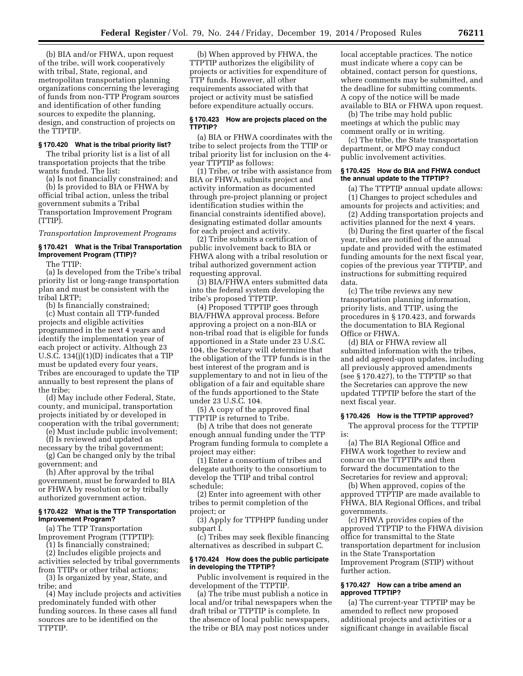(b) BIA and/or FHWA, upon request of the tribe, will work cooperatively with tribal, State, regional, and metropolitan transportation planning organizations concerning the leveraging of funds from non-TTP Program sources and identification of other funding sources to expedite the planning, design, and construction of projects on the TTPTIP.

# **§ 170.420 What is the tribal priority list?**

The tribal priority list is a list of all transportation projects that the tribe wants funded. The list:

(a) Is not financially constrained; and (b) Is provided to BIA or FHWA by official tribal action, unless the tribal government submits a Tribal Transportation Improvement Program (TTIP).

*Transportation Improvement Programs* 

# **§ 170.421 What is the Tribal Transportation Improvement Program (TTIP)?**

The TTIP:

(a) Is developed from the Tribe's tribal priority list or long-range transportation plan and must be consistent with the tribal LRTP;

(b) Is financially constrained;

(c) Must contain all TTP-funded projects and eligible activities programmed in the next 4 years and identify the implementation year of each project or activity. Although 23 U.S.C. 134(j)(1)(D) indicates that a TIP must be updated every four years, Tribes are encouraged to update the TIP annually to best represent the plans of the tribe;

(d) May include other Federal, State, county, and municipal, transportation projects initiated by or developed in cooperation with the tribal government;

(e) Must include public involvement; (f) Is reviewed and updated as

necessary by the tribal government;

(g) Can be changed only by the tribal government; and

(h) After approval by the tribal government, must be forwarded to BIA or FHWA by resolution or by tribally authorized government action.

#### **§ 170.422 What is the TTP Transportation Improvement Program?**

(a) The TTP Transportation Improvement Program (TTPTIP):

(1) Is financially constrained; (2) Includes eligible projects and

activities selected by tribal governments from TTIPs or other tribal actions;

(3) Is organized by year, State, and tribe; and

(4) May include projects and activities predominately funded with other funding sources. In these cases all fund sources are to be identified on the TTPTIP.

(b) When approved by FHWA, the TTPTIP authorizes the eligibility of projects or activities for expenditure of TTP funds. However, all other requirements associated with that project or activity must be satisfied before expenditure actually occurs.

#### **§ 170.423 How are projects placed on the TTPTIP?**

(a) BIA or FHWA coordinates with the tribe to select projects from the TTIP or tribal priority list for inclusion on the 4 year TTPTIP as follows:

(1) Tribe, or tribe with assistance from BIA or FHWA, submits project and activity information as documented through pre-project planning or project identification studies within the financial constraints identified above), designating estimated dollar amounts for each project and activity.

(2) Tribe submits a certification of public involvement back to BIA or FHWA along with a tribal resolution or tribal authorized government action requesting approval.

(3) BIA/FHWA enters submitted data into the federal system developing the tribe's proposed TTPTIP.

(4) Proposed TTPTIP goes through BIA/FHWA approval process. Before approving a project on a non-BIA or non-tribal road that is eligible for funds apportioned in a State under 23 U.S.C. 104, the Secretary will determine that the obligation of the TTP funds is in the best interest of the program and is supplementary to and not in lieu of the obligation of a fair and equitable share of the funds apportioned to the State under 23 U.S.C. 104.

(5) A copy of the approved final TTPTIP is returned to Tribe.

(b) A tribe that does not generate enough annual funding under the TTP Program funding formula to complete a project may either:

(1) Enter a consortium of tribes and delegate authority to the consortium to develop the TTIP and tribal control schedule;

(2) Enter into agreement with other tribes to permit completion of the project; or

(3) Apply for TTPHPP funding under subpart I.

(c) Tribes may seek flexible financing alternatives as described in subpart C.

# **§ 170.424 How does the public participate in developing the TTPTIP?**

Public involvement is required in the development of the TTPTIP.

(a) The tribe must publish a notice in local and/or tribal newspapers when the draft tribal or TTPTIP is complete. In the absence of local public newspapers, the tribe or BIA may post notices under

local acceptable practices. The notice must indicate where a copy can be obtained, contact person for questions, where comments may be submitted, and the deadline for submitting comments. A copy of the notice will be made available to BIA or FHWA upon request.

(b) The tribe may hold public meetings at which the public may comment orally or in writing.

(c) The tribe, the State transportation department, or MPO may conduct public involvement activities.

#### **§ 170.425 How do BIA and FHWA conduct the annual update to the TTPTIP?**

(a) The TTPTIP annual update allows: (1) Changes to project schedules and amounts for projects and activities; and

(2) Adding transportation projects and activities planned for the next 4 years.

(b) During the first quarter of the fiscal year, tribes are notified of the annual update and provided with the estimated funding amounts for the next fiscal year, copies of the previous year TTPTIP, and instructions for submitting required data.

(c) The tribe reviews any new transportation planning information, priority lists, and TTIP, using the procedures in § 170.423, and forwards the documentation to BIA Regional Office or FHWA.

(d) BIA or FHWA review all submitted information with the tribes, and add agreed-upon updates, including all previously approved amendments (see § 170.427), to the TTPTIP so that the Secretaries can approve the new updated TTPTIP before the start of the next fiscal year.

#### **§ 170.426 How is the TTPTIP approved?**

The approval process for the TTPTIP

(a) The BIA Regional Office and FHWA work together to review and concur on the TTPTIPs and then forward the documentation to the Secretaries for review and approval;

is:

(b) When approved, copies of the approved TTPTIP are made available to FHWA, BIA Regional Offices, and tribal governments.

(c) FHWA provides copies of the approved TTPTIP to the FHWA division office for transmittal to the State transportation department for inclusion in the State Transportation Improvement Program (STIP) without further action.

# **§ 170.427 How can a tribe amend an approved TTPTIP?**

(a) The current-year TTPTIP may be amended to reflect new proposed additional projects and activities or a significant change in available fiscal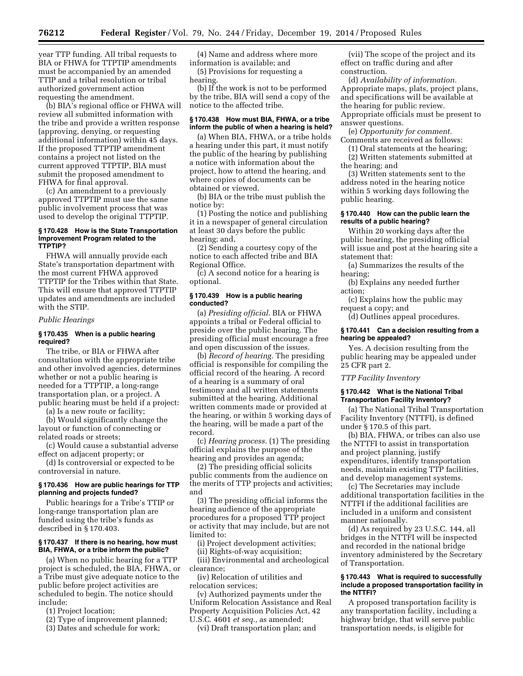year TTP funding. All tribal requests to BIA or FHWA for TTPTIP amendments must be accompanied by an amended TTIP and a tribal resolution or tribal authorized government action requesting the amendment.

(b) BIA's regional office or FHWA will review all submitted information with the tribe and provide a written response (approving, denying, or requesting additional information) within 45 days. If the proposed TTPTIP amendment contains a project not listed on the current approved TTPTIP, BIA must submit the proposed amendment to FHWA for final approval.

(c) An amendment to a previously approved TTPTIP must use the same public involvement process that was used to develop the original TTPTIP.

# **§ 170.428 How is the State Transportation Improvement Program related to the TTPTIP?**

FHWA will annually provide each State's transportation department with the most current FHWA approved TTPTIP for the Tribes within that State. This will ensure that approved TTPTIP updates and amendments are included with the STIP.

#### *Public Hearings*

# **§ 170.435 When is a public hearing required?**

The tribe, or BIA or FHWA after consultation with the appropriate tribe and other involved agencies, determines whether or not a public hearing is needed for a TTPTIP, a long-range transportation plan, or a project. A public hearing must be held if a project:

(a) Is a new route or facility;

(b) Would significantly change the layout or function of connecting or related roads or streets;

(c) Would cause a substantial adverse effect on adjacent property; or

(d) Is controversial or expected to be controversial in nature.

# **§ 170.436 How are public hearings for TTP planning and projects funded?**

Public hearings for a Tribe's TTIP or long-range transportation plan are funded using the tribe's funds as described in § 170.403.

#### **§ 170.437 If there is no hearing, how must BIA, FHWA, or a tribe inform the public?**

(a) When no public hearing for a TTP project is scheduled, the BIA, FHWA, or a Tribe must give adequate notice to the public before project activities are scheduled to begin. The notice should include:

(1) Project location;

(2) Type of improvement planned;

(3) Dates and schedule for work;

(4) Name and address where more information is available; and (5) Provisions for requesting a

hearing.

(b) If the work is not to be performed by the tribe, BIA will send a copy of the notice to the affected tribe.

# **§ 170.438 How must BIA, FHWA, or a tribe inform the public of when a hearing is held?**

(a) When BIA, FHWA, or a tribe holds a hearing under this part, it must notify the public of the hearing by publishing a notice with information about the project, how to attend the hearing, and where copies of documents can be obtained or viewed.

(b) BIA or the tribe must publish the notice by:

(1) Posting the notice and publishing it in a newspaper of general circulation at least 30 days before the public hearing; and,

(2) Sending a courtesy copy of the notice to each affected tribe and BIA Regional Office.

(c) A second notice for a hearing is optional.

# **§ 170.439 How is a public hearing conducted?**

(a) *Presiding official.* BIA or FHWA appoints a tribal or Federal official to preside over the public hearing. The presiding official must encourage a free and open discussion of the issues.

(b) *Record of hearing.* The presiding official is responsible for compiling the official record of the hearing. A record of a hearing is a summary of oral testimony and all written statements submitted at the hearing. Additional written comments made or provided at the hearing, or within 5 working days of the hearing, will be made a part of the record.

(c) *Hearing process.* (1) The presiding official explains the purpose of the hearing and provides an agenda;

(2) The presiding official solicits public comments from the audience on the merits of TTP projects and activities; and

(3) The presiding official informs the hearing audience of the appropriate procedures for a proposed TTP project or activity that may include, but are not limited to:

(i) Project development activities;

(ii) Rights-of-way acquisition; (iii) Environmental and archeological clearance;

(iv) Relocation of utilities and relocation services;

(v) Authorized payments under the Uniform Relocation Assistance and Real Property Acquisition Policies Act, 42 U.S.C. 4601 *et seq.,* as amended;

(vi) Draft transportation plan; and

(vii) The scope of the project and its effect on traffic during and after construction.

(d) *Availability of information.*  Appropriate maps, plats, project plans, and specifications will be available at the hearing for public review. Appropriate officials must be present to answer questions.

(e) *Opportunity for comment.*  Comments are received as follows:

(1) Oral statements at the hearing; (2) Written statements submitted at

the hearing; and

(3) Written statements sent to the address noted in the hearing notice within 5 working days following the public hearing.

#### **§ 170.440 How can the public learn the results of a public hearing?**

Within 20 working days after the public hearing, the presiding official will issue and post at the hearing site a statement that:

(a) Summarizes the results of the hearing;

(b) Explains any needed further action;

(c) Explains how the public may request a copy; and

(d) Outlines appeal procedures.

#### **§ 170.441 Can a decision resulting from a hearing be appealed?**

Yes. A decision resulting from the public hearing may be appealed under 25 CFR part 2.

*TTP Facility Inventory* 

#### **§ 170.442 What is the National Tribal Transportation Facility Inventory?**

(a) The National Tribal Transportation Facility Inventory (NTTFI), is defined under § 170.5 of this part.

(b) BIA, FHWA, or tribes can also use the NTTFI to assist in transportation and project planning, justify expenditures, identify transportation needs, maintain existing TTP facilities, and develop management systems.

(c) The Secretaries may include additional transportation facilities in the NTTFI if the additional facilities are included in a uniform and consistent manner nationally.

(d) As required by 23 U.S.C. 144, all bridges in the NTTFI will be inspected and recorded in the national bridge inventory administered by the Secretary of Transportation.

#### **§ 170.443 What is required to successfully include a proposed transportation facility in the NTTFI?**

A proposed transportation facility is any transportation facility, including a highway bridge, that will serve public transportation needs, is eligible for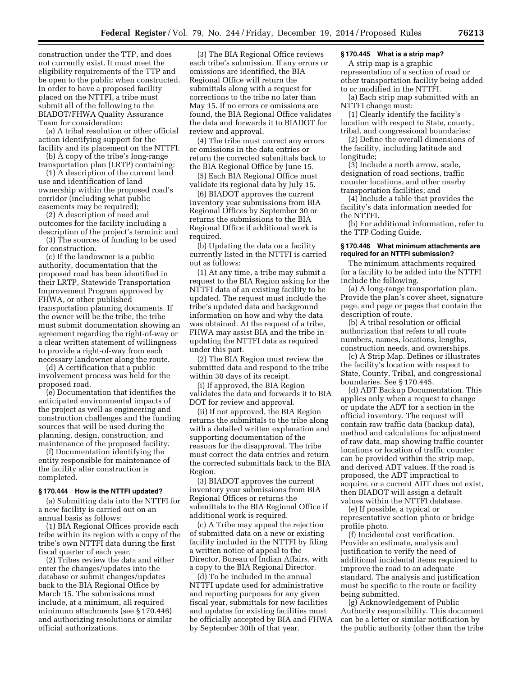construction under the TTP, and does not currently exist. It must meet the eligibility requirements of the TTP and be open to the public when constructed. In order to have a proposed facility placed on the NTTFI, a tribe must submit all of the following to the BIADOT/FHWA Quality Assurance Team for consideration:

(a) A tribal resolution or other official action identifying support for the facility and its placement on the NTTFI.

(b) A copy of the tribe's long-range transportation plan (LRTP) containing:

(1) A description of the current land use and identification of land ownership within the proposed road's corridor (including what public easements may be required);

(2) A description of need and outcomes for the facility including a description of the project's termini; and

(3) The sources of funding to be used for construction.

(c) If the landowner is a public authority, documentation that the proposed road has been identified in their LRTP, Statewide Transportation Improvement Program approved by FHWA, or other published transportation planning documents. If the owner will be the tribe, the tribe must submit documentation showing an agreement regarding the right-of-way or a clear written statement of willingness to provide a right-of-way from each necessary landowner along the route.

(d) A certification that a public involvement process was held for the proposed road.

(e) Documentation that identifies the anticipated environmental impacts of the project as well as engineering and construction challenges and the funding sources that will be used during the planning, design, construction, and maintenance of the proposed facility.

(f) Documentation identifying the entity responsible for maintenance of the facility after construction is completed.

#### **§ 170.444 How is the NTTFI updated?**

(a) Submitting data into the NTTFI for a new facility is carried out on an annual basis as follows:

(1) BIA Regional Offices provide each tribe within its region with a copy of the tribe's own NTTFI data during the first fiscal quarter of each year.

(2) Tribes review the data and either enter the changes/updates into the database or submit changes/updates back to the BIA Regional Office by March 15. The submissions must include, at a minimum, all required minimum attachments (see § 170.446) and authorizing resolutions or similar official authorizations.

(3) The BIA Regional Office reviews each tribe's submission. If any errors or omissions are identified, the BIA Regional Office will return the submittals along with a request for corrections to the tribe no later than May 15. If no errors or omissions are found, the BIA Regional Office validates the data and forwards it to BIADOT for review and approval.

(4) The tribe must correct any errors or omissions in the data entries or return the corrected submittals back to the BIA Regional Office by June 15.

(5) Each BIA Regional Office must validate its regional data by July 15.

(6) BIADOT approves the current inventory year submissions from BIA Regional Offices by September 30 or returns the submissions to the BIA Regional Office if additional work is required.

(b) Updating the data on a facility currently listed in the NTTFI is carried out as follows:

(1) At any time, a tribe may submit a request to the BIA Region asking for the NTTFI data of an existing facility to be updated. The request must include the tribe's updated data and background information on how and why the data was obtained. At the request of a tribe, FHWA may assist BIA and the tribe in updating the NTTFI data as required under this part.

(2) The BIA Region must review the submitted data and respond to the tribe within 30 days of its receipt.

(i) If approved, the BIA Region validates the data and forwards it to BIA DOT for review and approval.

(ii) If not approved, the BIA Region returns the submittals to the tribe along with a detailed written explanation and supporting documentation of the reasons for the disapproval. The tribe must correct the data entries and return the corrected submittals back to the BIA Region.

(3) BIADOT approves the current inventory year submissions from BIA Regional Offices or returns the submittals to the BIA Regional Office if additional work is required.

(c) A Tribe may appeal the rejection of submitted data on a new or existing facility included in the NTTFI by filing a written notice of appeal to the Director, Bureau of Indian Affairs, with a copy to the BIA Regional Director.

(d) To be included in the annual NTTFI update used for administrative and reporting purposes for any given fiscal year, submittals for new facilities and updates for existing facilities must be officially accepted by BIA and FHWA by September 30th of that year.

# **§ 170.445 What is a strip map?**

A strip map is a graphic representation of a section of road or other transportation facility being added to or modified in the NTTFI.

(a) Each strip map submitted with an NTTFI change must:

(1) Clearly identify the facility's location with respect to State, county, tribal, and congressional boundaries;

(2) Define the overall dimensions of the facility, including latitude and longitude;

(3) Include a north arrow, scale, designation of road sections, traffic counter locations, and other nearby transportation facilities; and

(4) Include a table that provides the facility's data information needed for the NTTFI.

(b) For additional information, refer to the TTP Coding Guide.

# **§ 170.446 What minimum attachments are required for an NTTFI submission?**

The minimum attachments required for a facility to be added into the NTTFI include the following.

(a) A long-range transportation plan. Provide the plan's cover sheet, signature page, and page or pages that contain the description of route.

(b) A tribal resolution or official authorization that refers to all route numbers, names, locations, lengths, construction needs, and ownerships.

(c) A Strip Map. Defines or illustrates the facility's location with respect to State, County, Tribal, and congressional boundaries. See § 170.445.

(d) ADT Backup Documentation. This applies only when a request to change or update the ADT for a section in the official inventory. The request will contain raw traffic data (backup data), method and calculations for adjustment of raw data, map showing traffic counter locations or location of traffic counter can be provided within the strip map, and derived ADT values. If the road is proposed, the ADT impractical to acquire, or a current ADT does not exist, then BIADOT will assign a default values within the NTTFI database.

(e) If possible, a typical or representative section photo or bridge profile photo.

(f) Incidental cost verification. Provide an estimate, analysis and justification to verify the need of additional incidental items required to improve the road to an adequate standard. The analysis and justification must be specific to the route or facility being submitted.

(g) Acknowledgement of Public Authority responsibility. This document can be a letter or similar notification by the public authority (other than the tribe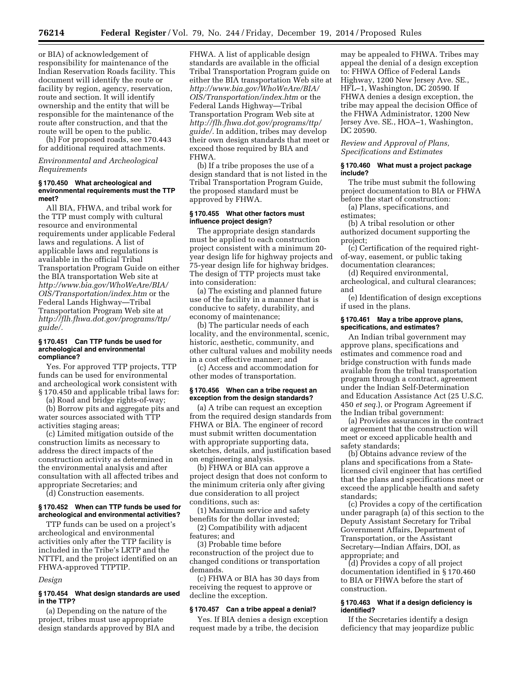or BIA) of acknowledgement of responsibility for maintenance of the Indian Reservation Roads facility. This document will identify the route or facility by region, agency, reservation, route and section. It will identify ownership and the entity that will be responsible for the maintenance of the route after construction, and that the route will be open to the public.

(h) For proposed roads, see 170.443 for additional required attachments.

# *Environmental and Archeological Requirements*

#### **§ 170.450 What archeological and environmental requirements must the TTP meet?**

All BIA, FHWA, and tribal work for the TTP must comply with cultural resource and environmental requirements under applicable Federal laws and regulations. A list of applicable laws and regulations is available in the official Tribal Transportation Program Guide on either the BIA transportation Web site at *[http://www.bia.gov/WhoWeAre/BIA/](http://www.bia.gov/WhoWeAre/BIA/OIS/Transportation/index.htm) [OIS/Transportation/index.htm](http://www.bia.gov/WhoWeAre/BIA/OIS/Transportation/index.htm)* or the Federal Lands Highway—Tribal Transportation Program Web site at *[http://flh.fhwa.dot.gov/programs/ttp/](http://flh.fhwa.dot.gov/programs/ttp/guide/) [guide/.](http://flh.fhwa.dot.gov/programs/ttp/guide/)* 

#### **§ 170.451 Can TTP funds be used for archeological and environmental compliance?**

Yes. For approved TTP projects, TTP funds can be used for environmental and archeological work consistent with § 170.450 and applicable tribal laws for:

(a) Road and bridge rights-of-way;

(b) Borrow pits and aggregate pits and water sources associated with TTP activities staging areas;

(c) Limited mitigation outside of the construction limits as necessary to address the direct impacts of the construction activity as determined in the environmental analysis and after consultation with all affected tribes and appropriate Secretaries; and

(d) Construction easements.

# **§ 170.452 When can TTP funds be used for archeological and environmental activities?**

TTP funds can be used on a project's archeological and environmental activities only after the TTP facility is included in the Tribe's LRTP and the NTTFI, and the project identified on an FHWA-approved TTPTIP.

# *Design*

# **§ 170.454 What design standards are used in the TTP?**

(a) Depending on the nature of the project, tribes must use appropriate design standards approved by BIA and FHWA. A list of applicable design standards are available in the official Tribal Transportation Program guide on either the BIA transportation Web site at *[http://www.bia.gov/WhoWeAre/BIA/](http://www.bia.gov/WhoWeAre/BIA/OIS/Transportation/index.htm) [OIS/Transportation/index.htm](http://www.bia.gov/WhoWeAre/BIA/OIS/Transportation/index.htm)* or the Federal Lands Highway—Tribal Transportation Program Web site at *[http://flh.fhwa.dot.gov/programs/ttp/](http://flh.fhwa.dot.gov/programs/ttp/guide/) [guide/.](http://flh.fhwa.dot.gov/programs/ttp/guide/)* In addition, tribes may develop their own design standards that meet or exceed those required by BIA and FHWA.

(b) If a tribe proposes the use of a design standard that is not listed in the Tribal Transportation Program Guide, the proposed standard must be approved by FHWA.

# **§ 170.455 What other factors must influence project design?**

The appropriate design standards must be applied to each construction project consistent with a minimum 20 year design life for highway projects and 75-year design life for highway bridges. The design of TTP projects must take into consideration:

(a) The existing and planned future use of the facility in a manner that is conducive to safety, durability, and economy of maintenance;

(b) The particular needs of each locality, and the environmental, scenic, historic, aesthetic, community, and other cultural values and mobility needs in a cost effective manner; and

(c) Access and accommodation for other modes of transportation.

#### **§ 170.456 When can a tribe request an exception from the design standards?**

(a) A tribe can request an exception from the required design standards from FHWA or BIA. The engineer of record must submit written documentation with appropriate supporting data, sketches, details, and justification based on engineering analysis.

(b) FHWA or BIA can approve a project design that does not conform to the minimum criteria only after giving due consideration to all project conditions, such as:

(1) Maximum service and safety benefits for the dollar invested;

(2) Compatibility with adjacent features; and

(3) Probable time before reconstruction of the project due to changed conditions or transportation demands.

(c) FHWA or BIA has 30 days from receiving the request to approve or decline the exception.

#### **§ 170.457 Can a tribe appeal a denial?**

Yes. If BIA denies a design exception request made by a tribe, the decision

may be appealed to FHWA. Tribes may appeal the denial of a design exception to: FHWA Office of Federal Lands Highway, 1200 New Jersey Ave. SE., HFL–1, Washington, DC 20590. If FHWA denies a design exception, the tribe may appeal the decision Office of the FHWA Administrator, 1200 New Jersey Ave. SE., HOA–1, Washington, DC 20590.

*Review and Approval of Plans, Specifications and Estimates* 

#### **§ 170.460 What must a project package include?**

The tribe must submit the following project documentation to BIA or FHWA before the start of construction:

(a) Plans, specifications, and estimates;

(b) A tribal resolution or other authorized document supporting the project;

(c) Certification of the required rightof-way, easement, or public taking documentation clearances;

(d) Required environmental, archeological, and cultural clearances; and

(e) Identification of design exceptions if used in the plans.

# **§ 170.461 May a tribe approve plans, specifications, and estimates?**

An Indian tribal government may approve plans, specifications and estimates and commence road and bridge construction with funds made available from the tribal transportation program through a contract, agreement under the Indian Self-Determination and Education Assistance Act (25 U.S.C. 450 *et seq.*), or Program Agreement if the Indian tribal government:

(a) Provides assurances in the contract or agreement that the construction will meet or exceed applicable health and safety standards;

(b) Obtains advance review of the plans and specifications from a Statelicensed civil engineer that has certified that the plans and specifications meet or exceed the applicable health and safety standards;

(c) Provides a copy of the certification under paragraph (a) of this section to the Deputy Assistant Secretary for Tribal Government Affairs, Department of Transportation, or the Assistant Secretary—Indian Affairs, DOI, as appropriate; and

(d) Provides a copy of all project documentation identified in § 170.460 to BIA or FHWA before the start of construction.

# **§ 170.463 What if a design deficiency is identified?**

If the Secretaries identify a design deficiency that may jeopardize public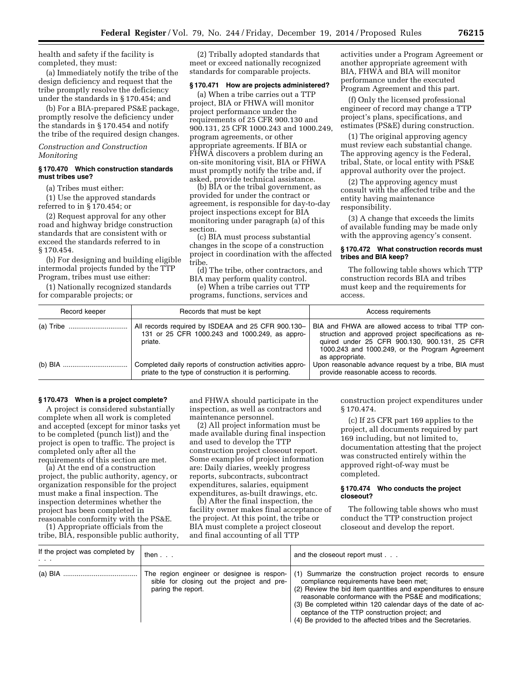health and safety if the facility is completed, they must:

(a) Immediately notify the tribe of the design deficiency and request that the tribe promptly resolve the deficiency under the standards in § 170.454; and

(b) For a BIA-prepared PS&E package, promptly resolve the deficiency under the standards in § 170.454 and notify the tribe of the required design changes.

# *Construction and Construction Monitoring*

#### **§ 170.470 Which construction standards must tribes use?**

(a) Tribes must either:

(1) Use the approved standards referred to in § 170.454; or

(2) Request approval for any other road and highway bridge construction standards that are consistent with or exceed the standards referred to in § 170.454.

(b) For designing and building eligible intermodal projects funded by the TTP Program, tribes must use either:

(1) Nationally recognized standards for comparable projects; or

(2) Tribally adopted standards that meet or exceed nationally recognized standards for comparable projects.

#### **§ 170.471 How are projects administered?**

(a) When a tribe carries out a TTP project, BIA or FHWA will monitor project performance under the requirements of 25 CFR 900.130 and 900.131, 25 CFR 1000.243 and 1000.249, program agreements, or other appropriate agreements. If BIA or FHWA discovers a problem during an on-site monitoring visit, BIA or FHWA must promptly notify the tribe and, if asked, provide technical assistance.

(b) BIA or the tribal government, as provided for under the contract or agreement, is responsible for day-to-day project inspections except for BIA monitoring under paragraph (a) of this section.

(c) BIA must process substantial changes in the scope of a construction project in coordination with the affected tribe.

(d) The tribe, other contractors, and BIA may perform quality control.

(e) When a tribe carries out TTP programs, functions, services and

activities under a Program Agreement or another appropriate agreement with BIA, FHWA and BIA will monitor performance under the executed Program Agreement and this part.

(f) Only the licensed professional engineer of record may change a TTP project's plans, specifications, and estimates (PS&E) during construction.

(1) The original approving agency must review each substantial change. The approving agency is the Federal, tribal, State, or local entity with PS&E approval authority over the project.

(2) The approving agency must consult with the affected tribe and the entity having maintenance responsibility.

(3) A change that exceeds the limits of available funding may be made only with the approving agency's consent.

#### **§ 170.472 What construction records must tribes and BIA keep?**

The following table shows which TTP construction records BIA and tribes must keep and the requirements for access.

| Record keeper | Records that must be kept                                                                                         | Access requirements                                                                                                                                                                                                              |
|---------------|-------------------------------------------------------------------------------------------------------------------|----------------------------------------------------------------------------------------------------------------------------------------------------------------------------------------------------------------------------------|
|               | All records required by ISDEAA and 25 CFR 900.130-<br>131 or 25 CFR 1000.243 and 1000.249, as appro-<br>priate.   | BIA and FHWA are allowed access to tribal TTP con-<br>struction and approved project specifications as re-<br>quired under 25 CFR 900.130, 900.131, 25 CFR<br>1000.243 and 1000.249, or the Program Agreement<br>as appropriate. |
|               | Completed daily reports of construction activities appro-<br>priate to the type of construction it is performing. | Upon reasonable advance request by a tribe, BIA must<br>provide reasonable access to records.                                                                                                                                    |

# **§ 170.473 When is a project complete?**

A project is considered substantially complete when all work is completed and accepted (except for minor tasks yet to be completed (punch list)) and the project is open to traffic. The project is completed only after all the requirements of this section are met.

(a) At the end of a construction project, the public authority, agency, or organization responsible for the project must make a final inspection. The inspection determines whether the project has been completed in reasonable conformity with the PS&E.

(1) Appropriate officials from the tribe, BIA, responsible public authority, and FHWA should participate in the inspection, as well as contractors and maintenance personnel.

(2) All project information must be made available during final inspection and used to develop the TTP construction project closeout report. Some examples of project information are: Daily diaries, weekly progress reports, subcontracts, subcontract expenditures, salaries, equipment expenditures, as-built drawings, etc.

(b) After the final inspection, the facility owner makes final acceptance of the project. At this point, the tribe or BIA must complete a project closeout and final accounting of all TTP

construction project expenditures under § 170.474.

(c) If 25 CFR part 169 applies to the project, all documents required by part 169 including, but not limited to, documentation attesting that the project was constructed entirely within the approved right-of-way must be completed.

### **§ 170.474 Who conducts the project closeout?**

The following table shows who must conduct the TTP construction project closeout and develop the report.

| If the project was completed by<br>$\sim$ $\sim$ | then                                                                                                           | and the closeout report must                                                                                                                                                                                                                                                                                                                                                                                   |
|--------------------------------------------------|----------------------------------------------------------------------------------------------------------------|----------------------------------------------------------------------------------------------------------------------------------------------------------------------------------------------------------------------------------------------------------------------------------------------------------------------------------------------------------------------------------------------------------------|
|                                                  | The region engineer or designee is respon-<br>sible for closing out the project and pre-<br>paring the report. | (1) Summarize the construction project records to ensure<br>compliance requirements have been met;<br>(2) Review the bid item quantities and expenditures to ensure<br>reasonable conformance with the PS&E and modifications;<br>(3) Be completed within 120 calendar days of the date of ac-<br>ceptance of the TTP construction project; and<br>(4) Be provided to the affected tribes and the Secretaries. |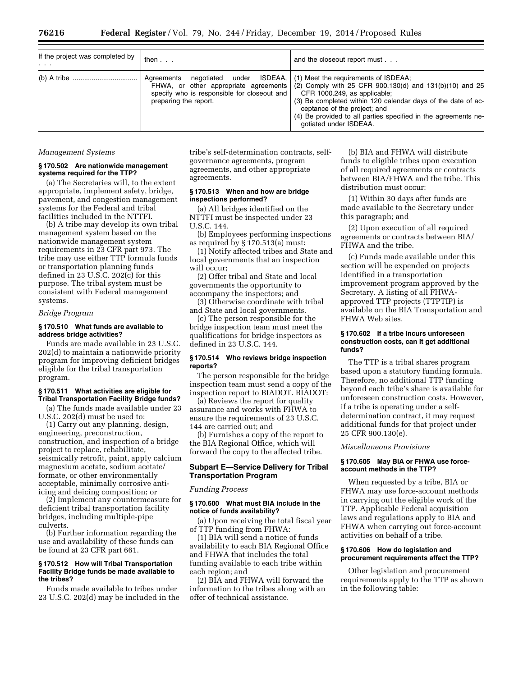| If the project was completed by<br>$\cdot$ $\cdot$ $\cdot$ | then                                                                                                                                                    | and the closeout report must                                                                                                                                                                                                                                                                                                  |
|------------------------------------------------------------|---------------------------------------------------------------------------------------------------------------------------------------------------------|-------------------------------------------------------------------------------------------------------------------------------------------------------------------------------------------------------------------------------------------------------------------------------------------------------------------------------|
|                                                            | negotiated under ISDEAA,<br>Aareements<br>FHWA, or other appropriate agreements<br>specify who is responsible for closeout and<br>preparing the report. | (1) Meet the requirements of ISDEAA;<br>$(2)$ Comply with 25 CFR 900.130(d) and 131(b)(10) and 25<br>CFR 1000.249, as applicable;<br>(3) Be completed within 120 calendar days of the date of ac-<br>ceptance of the project; and<br>(4) Be provided to all parties specified in the agreements ne-<br>gotiated under ISDEAA. |

#### *Management Systems*

#### **§ 170.502 Are nationwide management systems required for the TTP?**

(a) The Secretaries will, to the extent appropriate, implement safety, bridge, pavement, and congestion management systems for the Federal and tribal facilities included in the NTTFI.

(b) A tribe may develop its own tribal management system based on the nationwide management system requirements in 23 CFR part 973. The tribe may use either TTP formula funds or transportation planning funds defined in 23 U.S.C. 202(c) for this purpose. The tribal system must be consistent with Federal management systems.

#### *Bridge Program*

# **§ 170.510 What funds are available to address bridge activities?**

Funds are made available in 23 U.S.C. 202(d) to maintain a nationwide priority program for improving deficient bridges eligible for the tribal transportation program.

#### **§ 170.511 What activities are eligible for Tribal Transportation Facility Bridge funds?**

(a) The funds made available under 23 U.S.C. 202(d) must be used to:

(1) Carry out any planning, design, engineering, preconstruction, construction, and inspection of a bridge project to replace, rehabilitate, seismically retrofit, paint, apply calcium magnesium acetate, sodium acetate/ formate, or other environmentally acceptable, minimally corrosive antiicing and deicing composition; or

(2) Implement any countermeasure for deficient tribal transportation facility bridges, including multiple-pipe culverts.

(b) Further information regarding the use and availability of these funds can be found at 23 CFR part 661.

## **§ 170.512 How will Tribal Transportation Facility Bridge funds be made available to the tribes?**

Funds made available to tribes under 23 U.S.C. 202(d) may be included in the tribe's self-determination contracts, selfgovernance agreements, program agreements, and other appropriate agreements.

# **§ 170.513 When and how are bridge inspections performed?**

(a) All bridges identified on the NTTFI must be inspected under 23 U.S.C. 144.

(b) Employees performing inspections as required by § 170.513(a) must:

(1) Notify affected tribes and State and local governments that an inspection will occur;

(2) Offer tribal and State and local governments the opportunity to accompany the inspectors; and

(3) Otherwise coordinate with tribal and State and local governments.

(c) The person responsible for the bridge inspection team must meet the qualifications for bridge inspectors as defined in 23 U.S.C. 144.

# **§ 170.514 Who reviews bridge inspection reports?**

The person responsible for the bridge inspection team must send a copy of the inspection report to BIADOT. BIADOT:

(a) Reviews the report for quality assurance and works with FHWA to ensure the requirements of 23 U.S.C. 144 are carried out; and

(b) Furnishes a copy of the report to the BIA Regional Office, which will forward the copy to the affected tribe.

# **Subpart E—Service Delivery for Tribal Transportation Program**

#### *Funding Process*

# **§ 170.600 What must BIA include in the notice of funds availability?**

(a) Upon receiving the total fiscal year of TTP funding from FHWA:

(1) BIA will send a notice of funds availability to each BIA Regional Office and FHWA that includes the total funding available to each tribe within each region; and

(2) BIA and FHWA will forward the information to the tribes along with an offer of technical assistance.

(b) BIA and FHWA will distribute funds to eligible tribes upon execution of all required agreements or contracts between BIA/FHWA and the tribe. This distribution must occur:

(1) Within 30 days after funds are made available to the Secretary under this paragraph; and

(2) Upon execution of all required agreements or contracts between BIA/ FHWA and the tribe.

(c) Funds made available under this section will be expended on projects identified in a transportation improvement program approved by the Secretary. A listing of all FHWAapproved TTP projects (TTPTIP) is available on the BIA Transportation and FHWA Web sites.

#### **§ 170.602 If a tribe incurs unforeseen construction costs, can it get additional funds?**

The TTP is a tribal shares program based upon a statutory funding formula. Therefore, no additional TTP funding beyond each tribe's share is available for unforeseen construction costs. However, if a tribe is operating under a selfdetermination contract, it may request additional funds for that project under 25 CFR 900.130(e).

#### *Miscellaneous Provisions*

#### **§ 170.605 May BIA or FHWA use forceaccount methods in the TTP?**

When requested by a tribe, BIA or FHWA may use force-account methods in carrying out the eligible work of the TTP. Applicable Federal acquisition laws and regulations apply to BIA and FHWA when carrying out force-account activities on behalf of a tribe.

#### **§ 170.606 How do legislation and procurement requirements affect the TTP?**

Other legislation and procurement requirements apply to the TTP as shown in the following table: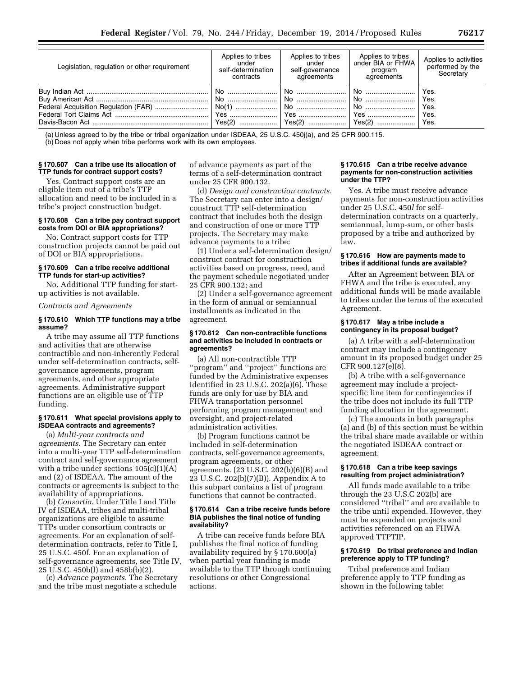| Legislation, regulation or other requirement | Applies to tribes<br>under<br>self-determination<br>contracts | Applies to tribes<br>under<br>self-governance<br>agreements | Applies to tribes<br>under BIA or FHWA<br>program<br>agreements | Applies to activities<br>performed by the<br>Secretary |
|----------------------------------------------|---------------------------------------------------------------|-------------------------------------------------------------|-----------------------------------------------------------------|--------------------------------------------------------|
|                                              | Yes(2)                                                        | No                                                          | l No ………………………<br>  No<br>  No                                  | Yes.<br>Yes.<br>Yes.<br>Yes.<br>Yes.                   |

(a) Unless agreed to by the tribe or tribal organization under ISDEAA, 25 U.S.C. 450j(a), and 25 CFR 900.115.

(b) Does not apply when tribe performs work with its own employees.

# **§ 170.607 Can a tribe use its allocation of TTP funds for contract support costs?**

Yes. Contract support costs are an eligible item out of a tribe's TTP allocation and need to be included in a tribe's project construction budget.

# **§ 170.608 Can a tribe pay contract support costs from DOI or BIA appropriations?**

No. Contract support costs for TTP construction projects cannot be paid out of DOI or BIA appropriations.

# **§ 170.609 Can a tribe receive additional TTP funds for start-up activities?**

No. Additional TTP funding for startup activities is not available.

# *Contracts and Agreements*

### **§ 170.610 Which TTP functions may a tribe assume?**

A tribe may assume all TTP functions and activities that are otherwise contractible and non-inherently Federal under self-determination contracts, selfgovernance agreements, program agreements, and other appropriate agreements. Administrative support functions are an eligible use of TTP funding.

#### **§ 170.611 What special provisions apply to ISDEAA contracts and agreements?**

(a) *Multi-year contracts and agreements.* The Secretary can enter into a multi-year TTP self-determination contract and self-governance agreement with a tribe under sections  $105(c)(1)(A)$ and (2) of ISDEAA. The amount of the contracts or agreements is subject to the availability of appropriations.

(b) *Consortia.* Under Title I and Title IV of ISDEAA, tribes and multi-tribal organizations are eligible to assume TTPs under consortium contracts or agreements. For an explanation of selfdetermination contracts, refer to Title I, 25 U.S.C. 450f. For an explanation of self-governance agreements, see Title IV, 25 U.S.C. 450b(l) and 458b(b)(2).

(c) *Advance payments.* The Secretary and the tribe must negotiate a schedule of advance payments as part of the terms of a self-determination contract under 25 CFR 900.132.

(d) *Design and construction contracts.*  The Secretary can enter into a design/ construct TTP self-determination contract that includes both the design and construction of one or more TTP projects. The Secretary may make advance payments to a tribe:

(1) Under a self-determination design/ construct contract for construction activities based on progress, need, and the payment schedule negotiated under 25 CFR 900.132; and

(2) Under a self-governance agreement in the form of annual or semiannual installments as indicated in the agreement.

#### **§ 170.612 Can non-contractible functions and activities be included in contracts or agreements?**

(a) All non-contractible TTP ''program'' and ''project'' functions are funded by the Administrative expenses identified in 23 U.S.C. 202(a)(6). These funds are only for use by BIA and FHWA transportation personnel performing program management and oversight, and project-related administration activities.

(b) Program functions cannot be included in self-determination contracts, self-governance agreements, program agreements, or other agreements. (23 U.S.C. 202(b)(6)(B) and 23 U.S.C. 202(b)(7)(B)). Appendix A to this subpart contains a list of program functions that cannot be contracted.

#### **§ 170.614 Can a tribe receive funds before BIA publishes the final notice of funding availability?**

A tribe can receive funds before BIA publishes the final notice of funding availability required by § 170.600(a) when partial year funding is made available to the TTP through continuing resolutions or other Congressional actions.

#### **§ 170.615 Can a tribe receive advance payments for non-construction activities under the TTP?**

Yes. A tribe must receive advance payments for non-construction activities under 25 U.S.C. 450*l* for selfdetermination contracts on a quarterly, semiannual, lump-sum, or other basis proposed by a tribe and authorized by law.

# **§ 170.616 How are payments made to tribes if additional funds are available?**

After an Agreement between BIA or FHWA and the tribe is executed, any additional funds will be made available to tribes under the terms of the executed Agreement.

# **§ 170.617 May a tribe include a contingency in its proposal budget?**

(a) A tribe with a self-determination contract may include a contingency amount in its proposed budget under 25 CFR 900.127(e)(8).

(b) A tribe with a self-governance agreement may include a projectspecific line item for contingencies if the tribe does not include its full TTP funding allocation in the agreement.

(c) The amounts in both paragraphs (a) and (b) of this section must be within the tribal share made available or within the negotiated ISDEAA contract or agreement.

# **§ 170.618 Can a tribe keep savings resulting from project administration?**

All funds made available to a tribe through the 23 U.S.C 202(b) are considered ''tribal'' and are available to the tribe until expended. However, they must be expended on projects and activities referenced on an FHWA approved TTPTIP.

# **§ 170.619 Do tribal preference and Indian preference apply to TTP funding?**

Tribal preference and Indian preference apply to TTP funding as shown in the following table: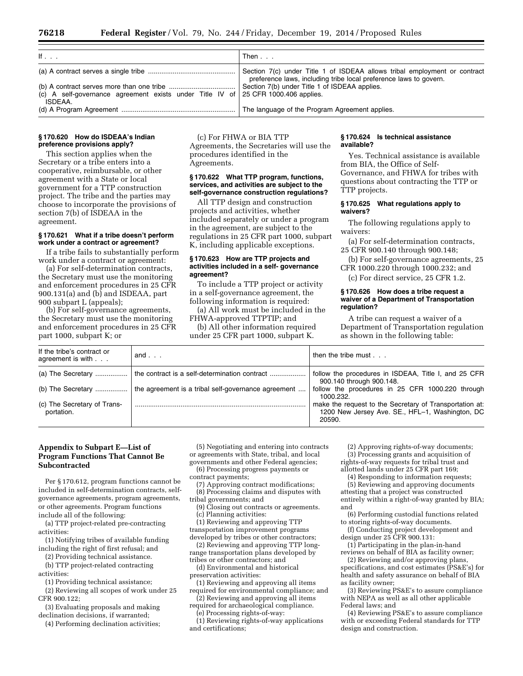| If $\ldots$                                                                                           | Then $\ldots$                                                                                                                                  |
|-------------------------------------------------------------------------------------------------------|------------------------------------------------------------------------------------------------------------------------------------------------|
|                                                                                                       | Section 7(c) under Title 1 of ISDEAA allows tribal employment or contract<br>preference laws, including tribe local preference laws to govern. |
|                                                                                                       | Section 7(b) under Title 1 of ISDEAA applies.                                                                                                  |
| (c) A self-governance agreement exists under Title IV of $\sqrt{25}$ CFR 1000.406 applies.<br>ISDEAA. |                                                                                                                                                |
|                                                                                                       | The language of the Program Agreement applies.                                                                                                 |

#### **§ 170.620 How do ISDEAA's Indian preference provisions apply?**

This section applies when the Secretary or a tribe enters into a cooperative, reimbursable, or other agreement with a State or local government for a TTP construction project. The tribe and the parties may choose to incorporate the provisions of section 7(b) of ISDEAA in the agreement.

# **§ 170.621 What if a tribe doesn't perform work under a contract or agreement?**

If a tribe fails to substantially perform work under a contract or agreement:

(a) For self-determination contracts, the Secretary must use the monitoring and enforcement procedures in 25 CFR 900.131(a) and (b) and ISDEAA, part 900 subpart L (appeals);

(b) For self-governance agreements, the Secretary must use the monitoring and enforcement procedures in 25 CFR part 1000, subpart K; or

(c) For FHWA or BIA TTP Agreements, the Secretaries will use the procedures identified in the Agreements.

# **§ 170.622 What TTP program, functions, services, and activities are subject to the self-governance construction regulations?**

All TTP design and construction projects and activities, whether included separately or under a program in the agreement, are subject to the regulations in 25 CFR part 1000, subpart K, including applicable exceptions.

# **§ 170.623 How are TTP projects and activities included in a self- governance agreement?**

To include a TTP project or activity in a self-governance agreement, the following information is required:

(a) All work must be included in the

FHWA-approved TTPTIP; and (b) All other information required

under 25 CFR part 1000, subpart K.

# **§ 170.624 Is technical assistance available?**

Yes. Technical assistance is available from BIA, the Office of Self-Governance, and FHWA for tribes with questions about contracting the TTP or TTP projects.

# **§ 170.625 What regulations apply to waivers?**

The following regulations apply to waivers:

- (a) For self-determination contracts, 25 CFR 900.140 through 900.148;
- (b) For self-governance agreements, 25 CFR 1000.220 through 1000.232; and
	- (c) For direct service, 25 CFR 1.2.

#### **§ 170.626 How does a tribe request a waiver of a Department of Transportation regulation?**

A tribe can request a waiver of a Department of Transportation regulation as shown in the following table:

| If the tribe's contract or<br>agreement is with | and $\ldots$                                        | then the tribe must $\ldots$                                                                                         |
|-------------------------------------------------|-----------------------------------------------------|----------------------------------------------------------------------------------------------------------------------|
|                                                 | the contract is a self-determination contract       | follow the procedures in ISDEAA, Title I, and 25 CFR<br>900.140 through 900.148.                                     |
| (b) The Secretary                               | the agreement is a tribal self-governance agreement | follow the procedures in 25 CFR 1000.220 through<br>1000.232.                                                        |
| (c) The Secretary of Trans-<br>portation.       |                                                     | make the request to the Secretary of Transportation at:<br>1200 New Jersey Ave. SE., HFL-1, Washington, DC<br>20590. |

# **Appendix to Subpart E—List of Program Functions That Cannot Be Subcontracted**

Per § 170.612, program functions cannot be included in self-determination contracts, selfgovernance agreements, program agreements, or other agreements. Program functions

include all of the following: (a) TTP project-related pre-contracting activities:

(1) Notifying tribes of available funding including the right of first refusal; and

(2) Providing technical assistance.

(b) TTP project-related contracting activities:

(1) Providing technical assistance;

(2) Reviewing all scopes of work under 25 CFR 900.122;

(3) Evaluating proposals and making declination decisions, if warranted;

(4) Performing declination activities;

(5) Negotiating and entering into contracts or agreements with State, tribal, and local

governments and other Federal agencies; (6) Processing progress payments or

contract payments;

(7) Approving contract modifications; (8) Processing claims and disputes with tribal governments; and

(9) Closing out contracts or agreements. (c) Planning activities:

(1) Reviewing and approving TTP transportation improvement programs developed by tribes or other contractors;

(2) Reviewing and approving TTP longrange transportation plans developed by tribes or other contractors; and

(d) Environmental and historical preservation activities:

(1) Reviewing and approving all items required for environmental compliance; and

(2) Reviewing and approving all items required for archaeological compliance.

(e) Processing rights-of-way:

(1) Reviewing rights-of-way applications and certifications;

(2) Approving rights-of-way documents; (3) Processing grants and acquisition of rights-of-way requests for tribal trust and

allotted lands under 25 CFR part 169;

(4) Responding to information requests; (5) Reviewing and approving documents

attesting that a project was constructed entirely within a right-of-way granted by BIA; and

(6) Performing custodial functions related to storing rights-of-way documents.

(f) Conducting project development and design under 25 CFR 900.131:

(1) Participating in the plan-in-hand reviews on behalf of BIA as facility owner;

(2) Reviewing and/or approving plans, specifications, and cost estimates (PS&E's) for health and safety assurance on behalf of BIA as facility owner;

(3) Reviewing PS&E's to assure compliance with NEPA as well as all other applicable Federal laws; and

(4) Reviewing PS&E's to assure compliance with or exceeding Federal standards for TTP design and construction.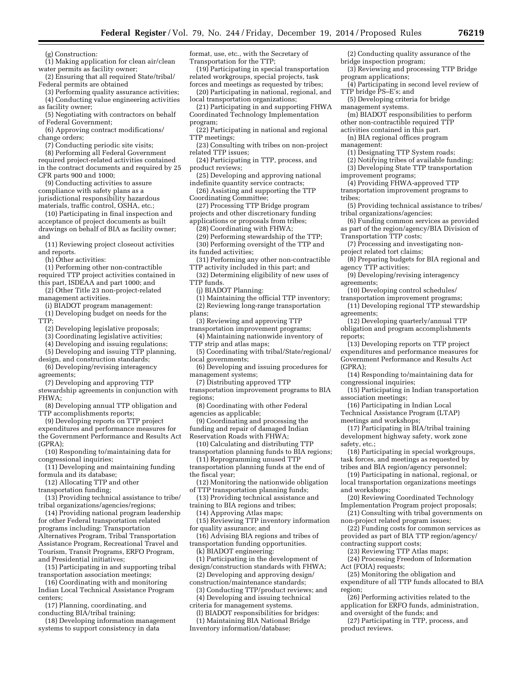(g) Construction:

- (1) Making application for clean air/clean water permits as facility owner;
- (2) Ensuring that all required State/tribal/ Federal permits are obtained
- (3) Performing quality assurance activities; (4) Conducting value engineering activities
- as facility owner; (5) Negotiating with contractors on behalf
- of Federal Government; (6) Approving contract modifications/ change orders;
	- (7) Conducting periodic site visits;
- (8) Performing all Federal Government required project-related activities contained in the contract documents and required by 25
- CFR parts 900 and 1000; (9) Conducting activities to assure
- compliance with safety plans as a jurisdictional responsibility hazardous materials, traffic control, OSHA, etc.;
- (10) Participating in final inspection and acceptance of project documents as built drawings on behalf of BIA as facility owner; and
- (11) Reviewing project closeout activities and reports.
- (h) Other activities:
- (1) Performing other non-contractible required TTP project activities contained in this part, ISDEAA and part 1000; and
- (2) Other Title 23 non-project-related management activities.
- (i) BIADOT program management:
- (1) Developing budget on needs for the TTP;
- (2) Developing legislative proposals;
- (3) Coordinating legislative activities;
- (4) Developing and issuing regulations;
- (5) Developing and issuing TTP planning, design, and construction standards;
- (6) Developing/revising interagency agreements;
- (7) Developing and approving TTP stewardship agreements in conjunction with FHWA;
- (8) Developing annual TTP obligation and TTP accomplishments reports;
- (9) Developing reports on TTP project
- expenditures and performance measures for the Government Performance and Results Act (GPRA);
- (10) Responding to/maintaining data for congressional inquiries;
- (11) Developing and maintaining funding formula and its database;
- (12) Allocating TTP and other
- transportation funding;
- (13) Providing technical assistance to tribe/ tribal organizations/agencies/regions;
- (14) Providing national program leadership for other Federal transportation related programs including: Transportation Alternatives Program, Tribal Transportation Assistance Program, Recreational Travel and Tourism, Transit Programs, ERFO Program, and Presidential initiatives;
- (15) Participating in and supporting tribal transportation association meetings;
- (16) Coordinating with and monitoring Indian Local Technical Assistance Program centers;
- (17) Planning, coordinating, and conducting BIA/tribal training;
- (18) Developing information management
- systems to support consistency in data
- format, use, etc., with the Secretary of Transportation for the TTP;
- (19) Participating in special transportation related workgroups, special projects, task forces and meetings as requested by tribes;
- (20) Participating in national, regional, and local transportation organizations;
- (21) Participating in and supporting FHWA Coordinated Technology Implementation program;
- (22) Participating in national and regional TTP meetings;
- (23) Consulting with tribes on non-project related TTP issues;
- (24) Participating in TTP, process, and product reviews;
- (25) Developing and approving national indefinite quantity service contracts;
- (26) Assisting and supporting the TTP Coordinating Committee;
- (27) Processing TTP Bridge program projects and other discretionary funding
- applications or proposals from tribes;
- (28) Coordinating with FHWA;
- (29) Performing stewardship of the TTP; (30) Performing oversight of the TTP and
- its funded activities; (31) Performing any other non-contractible
- TTP activity included in this part; and
- (32) Determining eligibility of new uses of TTP funds.
- (j) BIADOT Planning:
- (1) Maintaining the official TTP inventory;
- (2) Reviewing long-range transportation
- plans;
- (3) Reviewing and approving TTP
- transportation improvement programs; (4) Maintaining nationwide inventory of
- TTP strip and atlas maps;
- (5) Coordinating with tribal/State/regional/ local governments;
- (6) Developing and issuing procedures for management systems;
	- (7) Distributing approved TTP
- transportation improvement programs to BIA regions;
- (8) Coordinating with other Federal agencies as applicable;
- (9) Coordinating and processing the
- funding and repair of damaged Indian Reservation Roads with FHWA;
- (10) Calculating and distributing TTP transportation planning funds to BIA regions;
- (11) Reprogramming unused TTP transportation planning funds at the end of the fiscal year;
- (12) Monitoring the nationwide obligation of TTP transportation planning funds;
- (13) Providing technical assistance and
- training to BIA regions and tribes; (14) Approving Atlas maps;
- (15) Reviewing TTP inventory information for quality assurance; and
- (16) Advising BIA regions and tribes of transportation funding opportunities.
	- (k) BIADOT engineering:
- (1) Participating in the development of design/construction standards with FHWA;
- (2) Developing and approving design/ construction/maintenance standards;
- (3) Conducting TTP/product reviews; and (4) Developing and issuing technical
- criteria for management systems.
- (l) BIADOT responsibilities for bridges: (1) Maintaining BIA National Bridge
- Inventory information/database;
- (2) Conducting quality assurance of the bridge inspection program;
- (3) Reviewing and processing TTP Bridge program applications;
- (4) Participating in second level review of TTP bridge PS–E's; and
- (5) Developing criteria for bridge management systems.
- (m) BIADOT responsibilities to perform other non-contractible required TTP
- activities contained in this part.
- (n) BIA regional offices program management:
- (1) Designating TTP System roads;
- (2) Notifying tribes of available funding;
- (3) Developing State TTP transportation
- improvement programs;
- (4) Providing FHWA-approved TTP transportation improvement programs to
- tribes;

agreements;

agreements;

reports;

(GPRA);

safety, etc.;

and workshops;

congressional inquiries;

meetings and workshops;

association meetings;

- (5) Providing technical assistance to tribes/ tribal organizations/agencies;
- (6) Funding common services as provided as part of the region/agency/BIA Division of
- Transportation TTP costs;
- (7) Processing and investigating nonproject related tort claims;

(10) Developing control schedules/ transportation improvement programs; (11) Developing regional TTP stewardship

(12) Developing quarterly/annual TTP obligation and program accomplishments

(13) Developing reports on TTP project expenditures and performance measures for Government Performance and Results Act

(14) Responding to/maintaining data for

(15) Participating in Indian transportation

(17) Participating in BIA/tribal training development highway safety, work zone

(18) Participating in special workgroups, task forces, and meetings as requested by tribes and BIA region/agency personnel; (19) Participating in national, regional, or local transportation organizations meetings

(20) Reviewing Coordinated Technology Implementation Program project proposals; (21) Consulting with tribal governments on

(22) Funding costs for common services as provided as part of BIA TTP region/agency/

non-project related program issues;

(23) Reviewing TTP Atlas maps; (24) Processing Freedom of Information

(25) Monitoring the obligation and expenditure of all TTP funds allocated to BIA

and oversight of the funds; and

(26) Performing activities related to the application for ERFO funds, administration,

(27) Participating in TTP, process, and

contracting support costs;

Act (FOIA) requests;

product reviews.

region;

(16) Participating in Indian Local Technical Assistance Program (LTAP)

(8) Preparing budgets for BIA regional and agency TTP activities; (9) Developing/revising interagency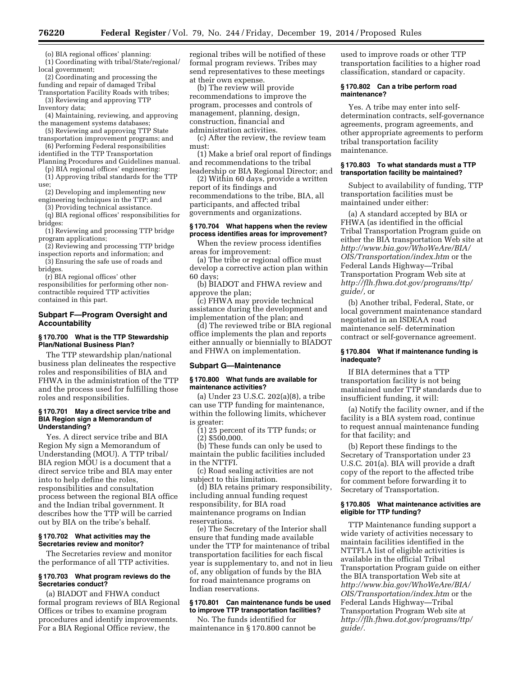(o) BIA regional offices' planning:

(1) Coordinating with tribal/State/regional/ local government;

(2) Coordinating and processing the funding and repair of damaged Tribal

Transportation Facility Roads with tribes; (3) Reviewing and approving TTP

Inventory data; (4) Maintaining, reviewing, and approving

the management systems databases; (5) Reviewing and approving TTP State

transportation improvement programs; and (6) Performing Federal responsibilities

identified in the TTP Transportation Planning Procedures and Guidelines manual.

(p) BIA regional offices' engineering: (1) Approving tribal standards for the TTP use;

(2) Developing and implementing new engineering techniques in the TTP; and

(3) Providing technical assistance. (q) BIA regional offices' responsibilities for

bridges:

(1) Reviewing and processing TTP bridge program applications;

(2) Reviewing and processing TTP bridge inspection reports and information; and

(3) Ensuring the safe use of roads and bridges.

(r) BIA regional offices' other

responsibilities for performing other noncontractible required TTP activities contained in this part.

# **Subpart F—Program Oversight and Accountability**

# **§ 170.700 What is the TTP Stewardship Plan/National Business Plan?**

The TTP stewardship plan/national business plan delineates the respective roles and responsibilities of BIA and FHWA in the administration of the TTP and the process used for fulfilling those roles and responsibilities.

#### **§ 170.701 May a direct service tribe and BIA Region sign a Memorandum of Understanding?**

Yes. A direct service tribe and BIA Region My sign a Memorandum of Understanding (MOU). A TTP tribal/ BIA region MOU is a document that a direct service tribe and BIA may enter into to help define the roles, responsibilities and consultation process between the regional BIA office and the Indian tribal government. It describes how the TTP will be carried out by BIA on the tribe's behalf.

# **§ 170.702 What activities may the Secretaries review and monitor?**

The Secretaries review and monitor the performance of all TTP activities.

# **§ 170.703 What program reviews do the Secretaries conduct?**

(a) BIADOT and FHWA conduct formal program reviews of BIA Regional Offices or tribes to examine program procedures and identify improvements. For a BIA Regional Office review, the

regional tribes will be notified of these formal program reviews. Tribes may send representatives to these meetings at their own expense.

(b) The review will provide recommendations to improve the program, processes and controls of management, planning, design, construction, financial and administration activities.

(c) After the review, the review team must:

(1) Make a brief oral report of findings and recommendations to the tribal

leadership or BIA Regional Director; and (2) Within 60 days, provide a written report of its findings and recommendations to the tribe, BIA, all participants, and affected tribal

governments and organizations.

# **§ 170.704 What happens when the review process identifies areas for improvement?**

When the review process identifies areas for improvement:

(a) The tribe or regional office must develop a corrective action plan within 60 days;

(b) BIADOT and FHWA review and approve the plan;

(c) FHWA may provide technical assistance during the development and implementation of the plan; and

(d) The reviewed tribe or BIA regional office implements the plan and reports either annually or biennially to BIADOT and FHWA on implementation.

# **Subpart G—Maintenance**

#### **§ 170.800 What funds are available for maintenance activities?**

(a) Under 23 U.S.C. 202(a)(8), a tribe can use TTP funding for maintenance, within the following limits, whichever is greater:

(1) 25 percent of its TTP funds; or (2) \$500,000.

(b) These funds can only be used to maintain the public facilities included in the NTTFI.

(c) Road sealing activities are not subject to this limitation.

(d) BIA retains primary responsibility, including annual funding request responsibility, for BIA road maintenance programs on Indian reservations.

(e) The Secretary of the Interior shall ensure that funding made available under the TTP for maintenance of tribal transportation facilities for each fiscal year is supplementary to, and not in lieu of, any obligation of funds by the BIA for road maintenance programs on Indian reservations.

# **§ 170.801 Can maintenance funds be used to improve TTP transportation facilities?**

No. The funds identified for maintenance in § 170.800 cannot be used to improve roads or other TTP transportation facilities to a higher road classification, standard or capacity.

#### **§ 170.802 Can a tribe perform road maintenance?**

Yes. A tribe may enter into selfdetermination contracts, self-governance agreements, program agreements, and other appropriate agreements to perform tribal transportation facility maintenance.

# **§ 170.803 To what standards must a TTP transportation facility be maintained?**

Subject to availability of funding, TTP transportation facilities must be maintained under either:

(a) A standard accepted by BIA or FHWA (as identified in the official Tribal Transportation Program guide on either the BIA transportation Web site at *[http://www.bia.gov/WhoWeAre/BIA/](http://www.bia.gov/WhoWeAre/BIA/OIS/Transportation/index.htm) [OIS/Transportation/index.htm](http://www.bia.gov/WhoWeAre/BIA/OIS/Transportation/index.htm)* or the Federal Lands Highway—Tribal Transportation Program Web site at *[http://flh.fhwa.dot.gov/programs/ttp/](http://flh.fhwa.dot.gov/programs/ttp/guide/) [guide/,](http://flh.fhwa.dot.gov/programs/ttp/guide/)* or

(b) Another tribal, Federal, State, or local government maintenance standard negotiated in an ISDEAA road maintenance self- determination contract or self-governance agreement.

## **§ 170.804 What if maintenance funding is inadequate?**

If BIA determines that a TTP transportation facility is not being maintained under TTP standards due to insufficient funding, it will:

(a) Notify the facility owner, and if the facility is a BIA system road, continue to request annual maintenance funding for that facility; and

(b) Report these findings to the Secretary of Transportation under 23 U.S.C. 201(a). BIA will provide a draft copy of the report to the affected tribe for comment before forwarding it to Secretary of Transportation.

# **§ 170.805 What maintenance activities are eligible for TTP funding?**

TTP Maintenance funding support a wide variety of activities necessary to maintain facilities identified in the NTTFI.A list of eligible activities is available in the official Tribal Transportation Program guide on either the BIA transportation Web site at *[http://www.bia.gov/WhoWeAre/BIA/](http://www.bia.gov/WhoWeAre/BIA/OIS/Transportation/index.htm) [OIS/Transportation/index.htm](http://www.bia.gov/WhoWeAre/BIA/OIS/Transportation/index.htm)* or the Federal Lands Highway—Tribal Transportation Program Web site at *[http://flh.fhwa.dot.gov/programs/ttp/](http://flh.fhwa.dot.gov/programs/ttp/guide/) [guide/.](http://flh.fhwa.dot.gov/programs/ttp/guide/)*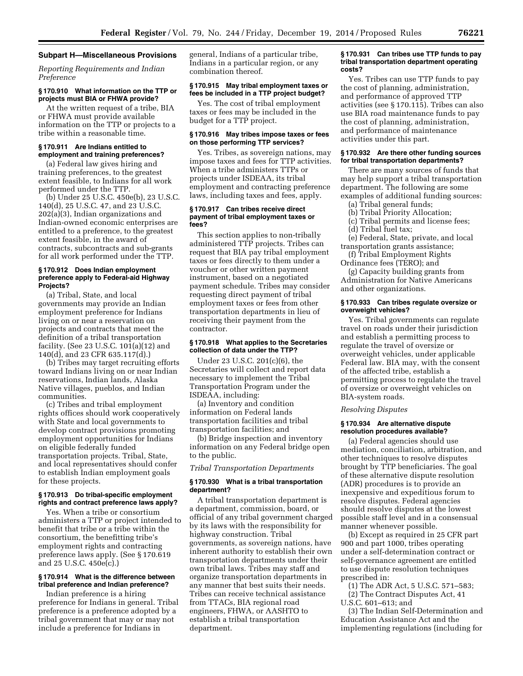#### **Subpart H—Miscellaneous Provisions**

*Reporting Requirements and Indian Preference* 

#### **§ 170.910 What information on the TTP or projects must BIA or FHWA provide?**

At the written request of a tribe, BIA or FHWA must provide available information on the TTP or projects to a tribe within a reasonable time.

#### **§ 170.911 Are Indians entitled to employment and training preferences?**

(a) Federal law gives hiring and training preferences, to the greatest extent feasible, to Indians for all work performed under the TTP.

(b) Under 25 U.S.C. 450e(b), 23 U.S.C. 140(d), 25 U.S.C. 47, and 23 U.S.C. 202(a)(3), Indian organizations and Indian-owned economic enterprises are entitled to a preference, to the greatest extent feasible, in the award of contracts, subcontracts and sub-grants for all work performed under the TTP.

# **§ 170.912 Does Indian employment preference apply to Federal-aid Highway Projects?**

(a) Tribal, State, and local governments may provide an Indian employment preference for Indians living on or near a reservation on projects and contracts that meet the definition of a tribal transportation facility. (See 23 U.S.C. 101(a)(12) and 140(d), and 23 CFR 635.117(d).)

(b) Tribes may target recruiting efforts toward Indians living on or near Indian reservations, Indian lands, Alaska Native villages, pueblos, and Indian communities.

(c) Tribes and tribal employment rights offices should work cooperatively with State and local governments to develop contract provisions promoting employment opportunities for Indians on eligible federally funded transportation projects. Tribal, State, and local representatives should confer to establish Indian employment goals for these projects.

# **§ 170.913 Do tribal-specific employment rights and contract preference laws apply?**

Yes. When a tribe or consortium administers a TTP or project intended to benefit that tribe or a tribe within the consortium, the benefitting tribe's employment rights and contracting preference laws apply. (See § 170.619 and 25 U.S.C. 450e(c).)

# **§ 170.914 What is the difference between tribal preference and Indian preference?**

Indian preference is a hiring preference for Indians in general. Tribal preference is a preference adopted by a tribal government that may or may not include a preference for Indians in

general, Indians of a particular tribe, Indians in a particular region, or any combination thereof.

# **§ 170.915 May tribal employment taxes or fees be included in a TTP project budget?**

Yes. The cost of tribal employment taxes or fees may be included in the budget for a TTP project.

# **§ 170.916 May tribes impose taxes or fees on those performing TTP services?**

Yes. Tribes, as sovereign nations, may impose taxes and fees for TTP activities. When a tribe administers TTPs or projects under ISDEAA, its tribal employment and contracting preference laws, including taxes and fees, apply.

#### **§ 170.917 Can tribes receive direct payment of tribal employment taxes or fees?**

This section applies to non-tribally administered TTP projects. Tribes can request that BIA pay tribal employment taxes or fees directly to them under a voucher or other written payment instrument, based on a negotiated payment schedule. Tribes may consider requesting direct payment of tribal employment taxes or fees from other transportation departments in lieu of receiving their payment from the contractor.

#### **§ 170.918 What applies to the Secretaries collection of data under the TTP?**

Under 23 U.S.C. 201(c)(6), the Secretaries will collect and report data necessary to implement the Tribal Transportation Program under the ISDEAA, including:

(a) Inventory and condition information on Federal lands transportation facilities and tribal transportation facilities; and

(b) Bridge inspection and inventory information on any Federal bridge open to the public.

# *Tribal Transportation Departments*

#### **§ 170.930 What is a tribal transportation department?**

A tribal transportation department is a department, commission, board, or official of any tribal government charged by its laws with the responsibility for highway construction. Tribal governments, as sovereign nations, have inherent authority to establish their own transportation departments under their own tribal laws. Tribes may staff and organize transportation departments in any manner that best suits their needs. Tribes can receive technical assistance from TTACs, BIA regional road engineers, FHWA, or AASHTO to establish a tribal transportation department.

#### **§ 170.931 Can tribes use TTP funds to pay tribal transportation department operating costs?**

Yes. Tribes can use TTP funds to pay the cost of planning, administration, and performance of approved TTP activities (see § 170.115). Tribes can also use BIA road maintenance funds to pay the cost of planning, administration, and performance of maintenance activities under this part.

#### **§ 170.932 Are there other funding sources for tribal transportation departments?**

There are many sources of funds that may help support a tribal transportation department. The following are some examples of additional funding sources:

- (a) Tribal general funds;
- (b) Tribal Priority Allocation;
- (c) Tribal permits and license fees; (d) Tribal fuel tax;
- 

(e) Federal, State, private, and local transportation grants assistance;

(f) Tribal Employment Rights Ordinance fees (TERO); and

(g) Capacity building grants from Administration for Native Americans and other organizations.

# **§ 170.933 Can tribes regulate oversize or overweight vehicles?**

Yes. Tribal governments can regulate travel on roads under their jurisdiction and establish a permitting process to regulate the travel of oversize or overweight vehicles, under applicable Federal law. BIA may, with the consent of the affected tribe, establish a permitting process to regulate the travel of oversize or overweight vehicles on BIA-system roads.

# *Resolving Disputes*

#### **§ 170.934 Are alternative dispute resolution procedures available?**

(a) Federal agencies should use mediation, conciliation, arbitration, and other techniques to resolve disputes brought by TTP beneficiaries. The goal of these alternative dispute resolution (ADR) procedures is to provide an inexpensive and expeditious forum to resolve disputes. Federal agencies should resolve disputes at the lowest possible staff level and in a consensual manner whenever possible.

(b) Except as required in 25 CFR part 900 and part 1000, tribes operating under a self-determination contract or self-governance agreement are entitled to use dispute resolution techniques prescribed in:

(1) The ADR Act, 5 U.S.C. 571–583; (2) The Contract Disputes Act, 41 U.S.C. 601–613; and

(3) The Indian Self-Determination and Education Assistance Act and the implementing regulations (including for